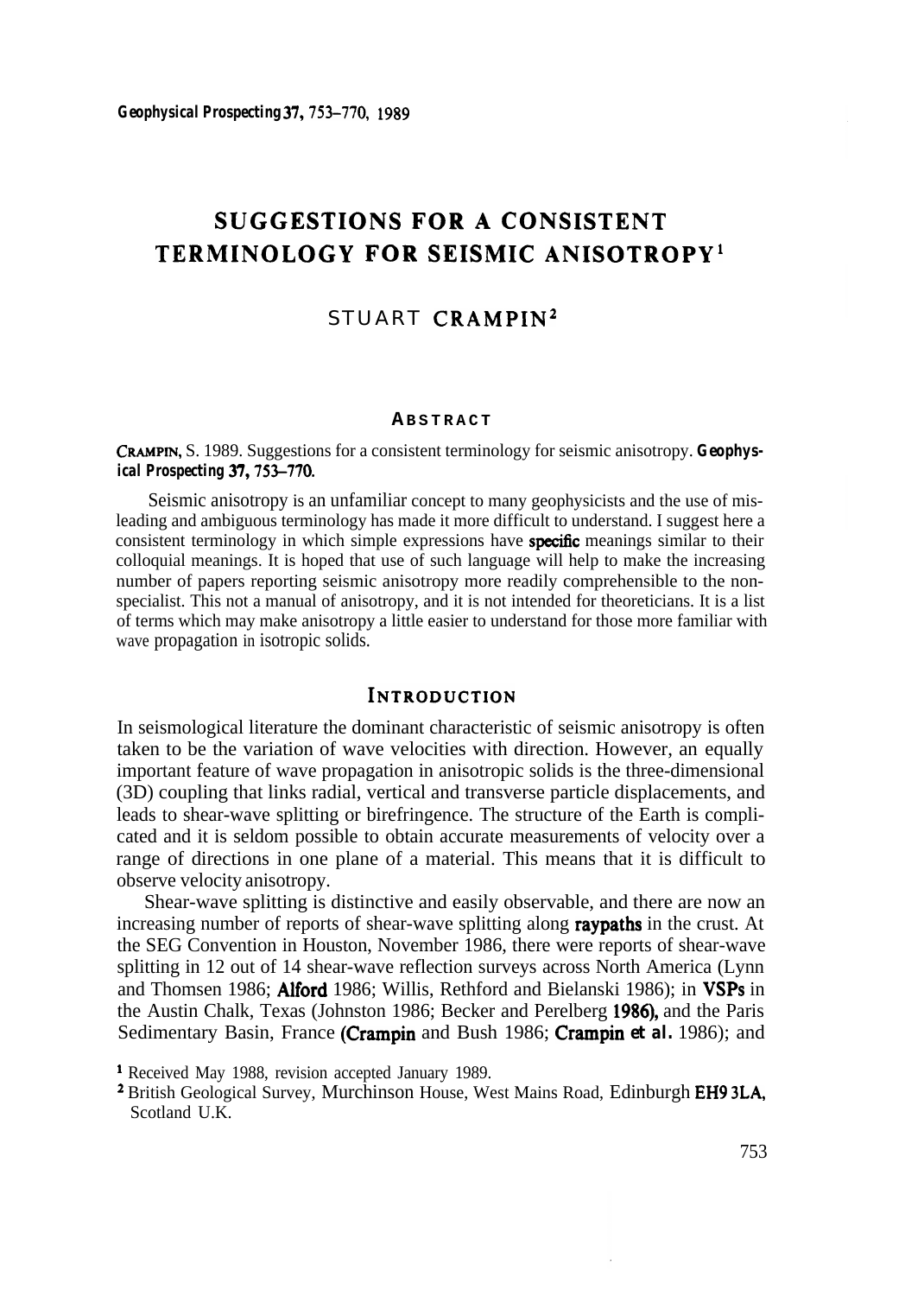# **SUGGESTIONS FOR A CONSISTENT TERMINOLOGY FOR SEISMIC ANISOTROPY'**

# STUART CRAMPIN

#### **ABSTRAC T**

## **CRAMPIN,** S. 1989. Suggestions for a consistent terminology for seismic anisotropy. *Geophysical Prospecting 37,753-770.*

Seismic anisotropy is an unfamiliar concept to many geophysicists and the use of misleading and ambiguous terminology has made it more difficult to understand. I suggest here a consistent terminology in which simple expressions have **specific** meanings similar to their colloquial meanings. It is hoped that use of such language will help to make the increasing number of papers reporting seismic anisotropy more readily comprehensible to the nonspecialist. This not a manual of anisotropy, and it is not intended for theoreticians. It is a list of terms which may make anisotropy a little easier to understand for those more familiar with wave propagation in isotropic solids.

# **INTRODUCTION**

In seismological literature the dominant characteristic of seismic anisotropy is often taken to be the variation of wave velocities with direction. However, an equally important feature of wave propagation in anisotropic solids is the three-dimensional (3D) coupling that links radial, vertical and transverse particle displacements, and leads to shear-wave splitting or birefringence. The structure of the Earth is complicated and it is seldom possible to obtain accurate measurements of velocity over a range of directions in one plane of a material. This means that it is difficult to observe velocity anisotropy.

Shear-wave splitting is distinctive and easily observable, and there are now an increasing number of reports of shear-wave splitting along **raypaths** in the crust. At the SEG Convention in Houston, November 1986, there were reports of shear-wave splitting in 12 out of 14 shear-wave reflection surveys across North America (Lynn and Thomsen 1986; Alford 1986; Willis, Rethford and Bielanski 1986); in VSPs in the Austin Chalk, Texas (Johnston 1986; Becker and Perelberg 1986), and the Paris Sedimentary Basin, France (Crampin and Bush 1986; Crampin *et al.* 1986); and

<sup>1</sup> Received May 1988, revision accepted January 1989.

<sup>2</sup> British Geological Survey, Murchinson House, West Mains Road, Edinburgh EH9 3LA, Scotland U.K.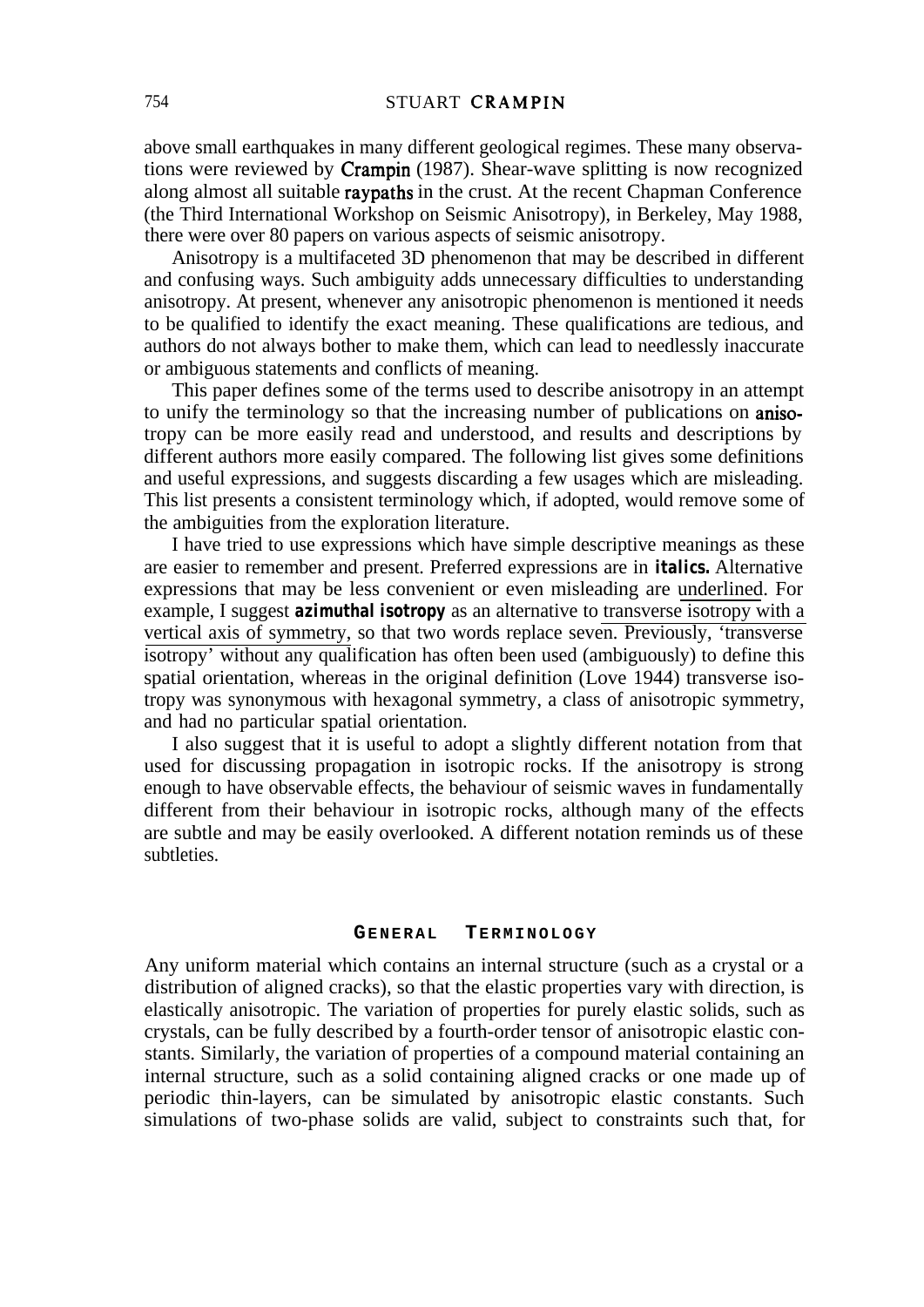above small earthquakes in many different geological regimes. These many observations were reviewed by Crampin (1987). Shear-wave splitting is now recognized along almost all suitable raypaths in the crust. At the recent Chapman Conference (the Third International Workshop on Seismic Anisotropy), in Berkeley, May 1988, there were over 80 papers on various aspects of seismic anisotropy.

Anisotropy is a multifaceted 3D phenomenon that may be described in different and confusing ways. Such ambiguity adds unnecessary difficulties to understanding anisotropy. At present, whenever any anisotropic phenomenon is mentioned it needs to be qualified to identify the exact meaning. These qualifications are tedious, and authors do not always bother to make them, which can lead to needlessly inaccurate or ambiguous statements and conflicts of meaning.

This paper defines some of the terms used to describe anisotropy in an attempt to unify the terminology so that the increasing number of publications on anisotropy can be more easily read and understood, and results and descriptions by different authors more easily compared. The following list gives some definitions and useful expressions, and suggests discarding a few usages which are misleading. This list presents a consistent terminology which, if adopted, would remove some of the ambiguities from the exploration literature.

I have tried to use expressions which have simple descriptive meanings as these are easier to remember and present. Preferred expressions are in *italics.* Alternative expressions that may be less convenient or even misleading are underlined. For example, I suggest *azimuthal isotropy* as an alternative to transverse isotropy with a vertical axis of symmetry, so that two words replace seven. Previously, 'transverse isotropy' without any qualification has often been used (ambiguously) to define this spatial orientation, whereas in the original definition (Love 1944) transverse isotropy was synonymous with hexagonal symmetry, a class of anisotropic symmetry, and had no particular spatial orientation.

I also suggest that it is useful to adopt a slightly different notation from that used for discussing propagation in isotropic rocks. If the anisotropy is strong enough to have observable effects, the behaviour of seismic waves in fundamentally different from their behaviour in isotropic rocks, although many of the effects are subtle and may be easily overlooked. A different notation reminds us of these subtleties.

#### **GENERAL TERMINOLOGY**

Any uniform material which contains an internal structure (such as a crystal or a distribution of aligned cracks), so that the elastic properties vary with direction, is elastically anisotropic. The variation of properties for purely elastic solids, such as crystals, can be fully described by a fourth-order tensor of anisotropic elastic constants. Similarly, the variation of properties of a compound material containing an internal structure, such as a solid containing aligned cracks or one made up of periodic thin-layers, can be simulated by anisotropic elastic constants. Such simulations of two-phase solids are valid, subject to constraints such that, for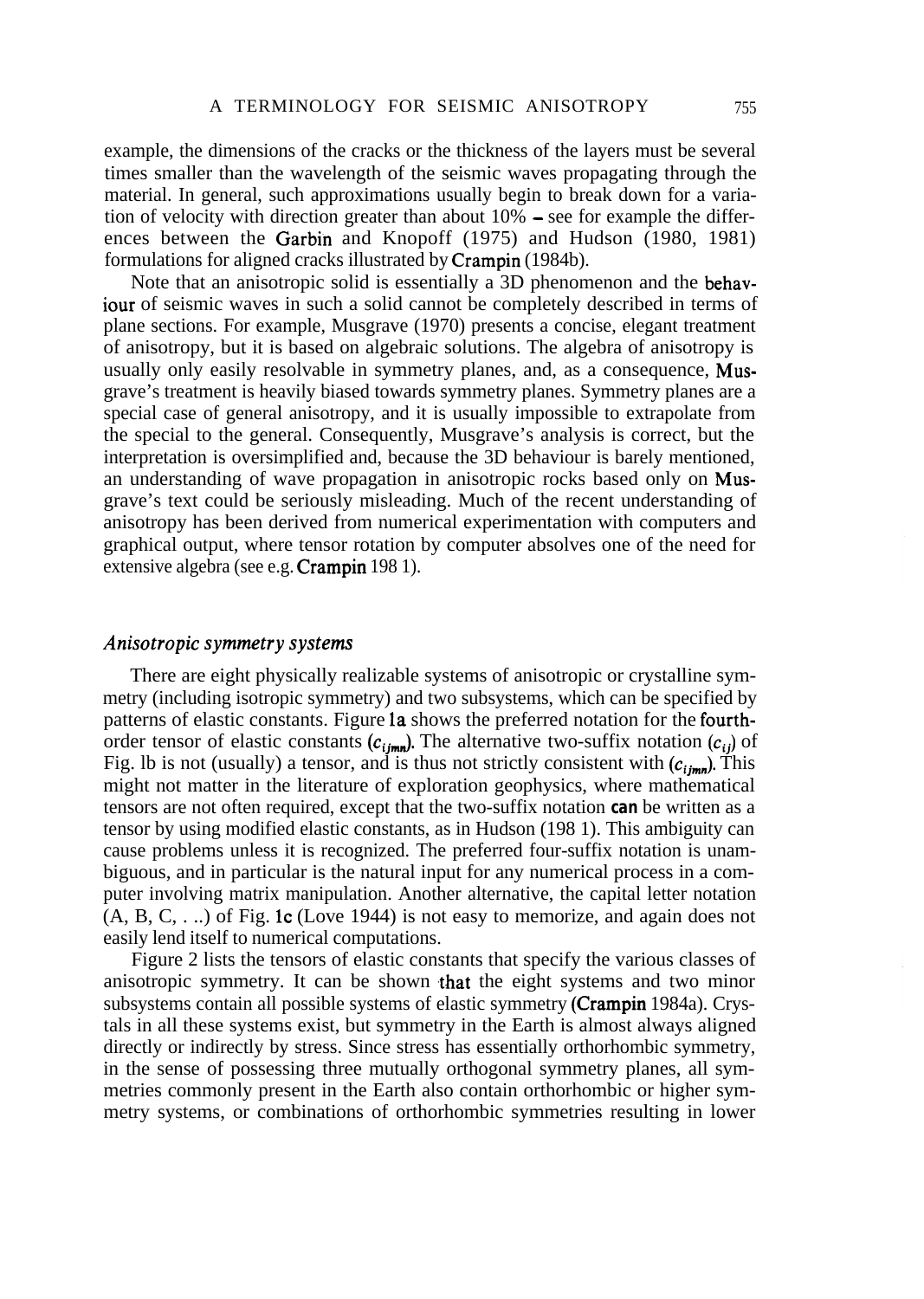example, the dimensions of the cracks or the thickness of the layers must be several times smaller than the wavelength of the seismic waves propagating through the material. In general, such approximations usually begin to break down for a variation of velocity with direction greater than about 10% - see for example the differences between the Garbin and Knopoff (1975) and Hudson (1980, 1981) formulations for aligned cracks illustrated by Crampin (1984b).

Note that an anisotropic solid is essentially a 3D phenomenon and the behaviour of seismic waves in such a solid cannot be completely described in terms of plane sections. For example, Musgrave (1970) presents a concise, elegant treatment of anisotropy, but it is based on algebraic solutions. The algebra of anisotropy is usually only easily resolvable in symmetry planes, and, as a consequence, Musgrave's treatment is heavily biased towards symmetry planes. Symmetry planes are a special case of general anisotropy, and it is usually impossible to extrapolate from the special to the general. Consequently, Musgrave's analysis is correct, but the interpretation is oversimplified and, because the 3D behaviour is barely mentioned, an understanding of wave propagation in anisotropic rocks based only on Musgrave's text could be seriously misleading. Much of the recent understanding of anisotropy has been derived from numerical experimentation with computers and graphical output, where tensor rotation by computer absolves one of the need for extensive algebra (see e.g. Crampin 198 1).

## *Anisotropic symmetry systems*

There are eight physically realizable systems of anisotropic or crystalline symmetry (including isotropic symmetry) and two subsystems, which can be specified by patterns of elastic constants. Figure la shows the preferred notation for the fourthorder tensor of elastic constants  $(c_{ijmn})$ . The alternative two-suffix notation  $(c_{ij})$  of Fig. 1b is not (usually) a tensor, and is thus not strictly consistent with  $(c_{ijmn})$ . This might not matter in the literature of exploration geophysics, where mathematical tensors are not often required, except that the two-suffix notation *can* be written as a tensor by using modified elastic constants, as in Hudson (198 1). This ambiguity can cause problems unless it is recognized. The preferred four-suffix notation is unambiguous, and in particular is the natural input for any numerical process in a computer involving matrix manipulation. Another alternative, the capital letter notation (A, B, C, . ..) of Fig. lc (Love 1944) is not easy to memorize, and again does not easily lend itself to numerical computations.

Figure 2 lists the tensors of elastic constants that specify the various classes of anisotropic symmetry. It can be shown that the eight systems and two minor subsystems contain all possible systems of elastic symmetry (Crampin 1984a). Crystals in all these systems exist, but symmetry in the Earth is almost always aligned directly or indirectly by stress. Since stress has essentially orthorhombic symmetry, in the sense of possessing three mutually orthogonal symmetry planes, all symmetries commonly present in the Earth also contain orthorhombic or higher symmetry systems, or combinations of orthorhombic symmetries resulting in lower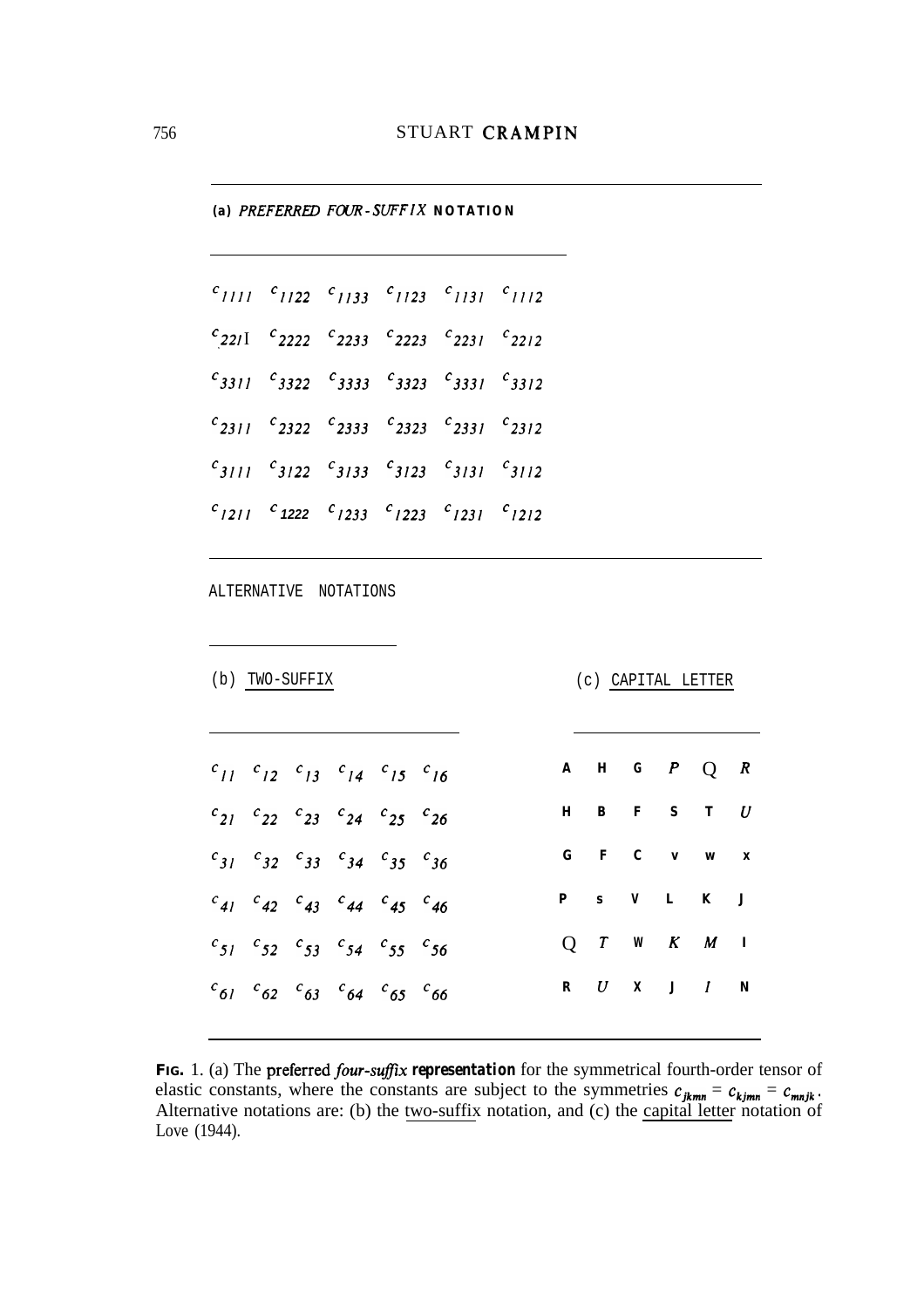| $c_{1111}$ $c_{1122}$ $c_{1133}$ $c_{1123}$ $c_{1131}$ $c_{1112}$ |  |  |
|-------------------------------------------------------------------|--|--|
| $c_{221}$ $c_{2222}$ $c_{2233}$ $c_{2223}$ $c_{2231}$ $c_{2212}$  |  |  |
| $c_{3311}$ $c_{3322}$ $c_{3333}$ $c_{3323}$ $c_{3331}$ $c_{3312}$ |  |  |
| $c_{2311}$ $c_{2322}$ $c_{2333}$ $c_{2323}$ $c_{2331}$ $c_{2312}$ |  |  |
|                                                                   |  |  |

*(a) PREFERREO FCU?-SUFFIX NOTATION*

*c3111 '3122 '3133 '3123 '3131 '3112*

*c/2II ' 1222 '1233 '1223 '1231 7212*

ALTERNATIVE NOTATIONS

| (b) TWO-SUFFIX                                        |  |  |  |  | (c) CAPITAL LETTER      |  |
|-------------------------------------------------------|--|--|--|--|-------------------------|--|
| $c_{11}$ $c_{12}$ $c_{13}$ $c_{14}$ $c_{15}$ $c_{16}$ |  |  |  |  | $A$ $H$ $G$ $P$ $Q$ $R$ |  |
| $c_{21}$ $c_{22}$ $c_{23}$ $c_{24}$ $c_{25}$ $c_{26}$ |  |  |  |  | $H$ $B$ $F$ $S$ $T$ $U$ |  |
| $c_{31}$ $c_{32}$ $c_{33}$ $c_{34}$ $c_{35}$ $c_{36}$ |  |  |  |  | $G$ $F$ $C$ $v$ $w$ $x$ |  |
| $c_{41}$ $c_{42}$ $c_{43}$ $c_{44}$ $c_{45}$ $c_{46}$ |  |  |  |  | $P$ s $V$ $L$ $K$ $J$   |  |
| $c_{51}$ $c_{52}$ $c_{53}$ $c_{54}$ $c_{55}$ $c_{56}$ |  |  |  |  | $O$ T W K M I           |  |
| $c_{61}$ $c_{62}$ $c_{63}$ $c_{64}$ $c_{65}$ $c_{66}$ |  |  |  |  | $R$ $U$ $X$ $J$ $I$ $N$ |  |

FIG. 1. (a) The preferred four-suffix representation for the symmetrical fourth-order tensor of elastic constants, where the constants are subject to the symmetries  $c_{jkmn} = c_{kjmn} = c_{mnjk}$ . Alternative notations are: (b) the two-suffix notation, and (c) the capital letter notation of Love (1944).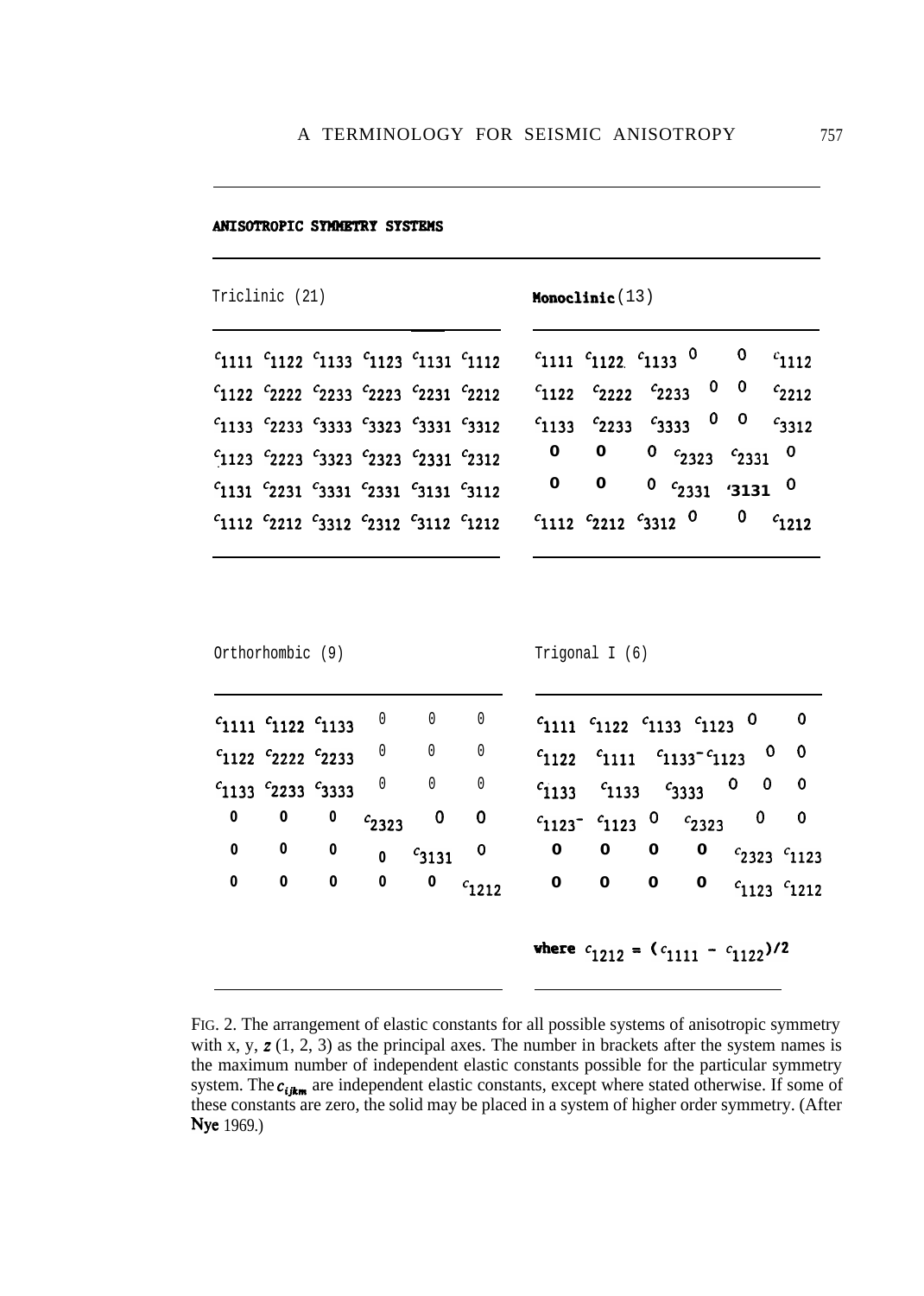| ANISOTROPIC STRIETRY SYSTEMS |  |  |
|------------------------------|--|--|
|                              |  |  |

| Triclinic (21)                                                    |                                                                   |  |                                                                   |          | Monoclinic $(13)$       |                                                                               |                   |
|-------------------------------------------------------------------|-------------------------------------------------------------------|--|-------------------------------------------------------------------|----------|-------------------------|-------------------------------------------------------------------------------|-------------------|
|                                                                   |                                                                   |  |                                                                   |          |                         | $c_{1111}c_{1122}c_{1133}c_{1123}c_{1131}c_{1112}c_{1111}c_{1122}c_{1133}0$ 0 | $\epsilon_{1112}$ |
|                                                                   |                                                                   |  | $c_{1122}$ $c_{2222}$ $c_{2233}$ $c_{2223}$ $c_{2231}$ $c_{2212}$ |          |                         | $c_{1122}$ $c_{2222}$ $c_{2233}$ 0 0                                          | $c_{2212}$        |
|                                                                   |                                                                   |  | $-$ 1133 $-$ 2233 $-$ 3333 $-$ 3323 $-$ 3331 $-$ 3312             |          |                         | $c_{1133}$ $c_{2233}$ $c_{3333}$ 0 0 $c_{3312}$                               |                   |
| $c_{1123}$ $c_{2223}$ $c_{3323}$ $c_{2323}$ $c_{2331}$ $c_{2312}$ |                                                                   |  |                                                                   | $\bf{0}$ | $\overline{\mathbf{0}}$ | 0 $c_{2323}$ $c_{2331}$ 0                                                     |                   |
|                                                                   | $c_{1131}$ $c_{2231}$ $c_{3331}$ $c_{2331}$ $c_{3131}$ $c_{3112}$ |  |                                                                   |          |                         | 0 0 0 $c_{2331}$ $c_{3131}$ 0                                                 |                   |
|                                                                   |                                                                   |  | $C_{1112}$ $C_{2212}$ $C_{3312}$ $C_{2312}$ $C_{3112}$ $C_{1212}$ |          |                         | $c_{1112}$ $c_{2212}$ $c_{3312}$ 0 0 $c_{1212}$                               |                   |

| Orthorhombic (9)                        |  |                                        | Trigonal I (6)                |  |                                                 |  |
|-----------------------------------------|--|----------------------------------------|-------------------------------|--|-------------------------------------------------|--|
|                                         |  | $c_{1111} c_{1122} c_{1133} 0 0 0$     |                               |  | $c_{1111}$ $c_{1122}$ $c_{1133}$ $c_{1123}$ 0 0 |  |
|                                         |  | $c_{1122}$ $c_{2222}$ $c_{2233}$ 0 0 0 |                               |  | $c_{1122}$ $c_{1111}$ $c_{1133}$ $c_{1123}$ 0 0 |  |
|                                         |  | $c_{1133}$ $c_{2233}$ $c_{3333}$ 0 0 0 |                               |  | $c_{1133}$ $c_{1133}$ $c_{3333}$ 0 0 0          |  |
| $\begin{matrix} 0 & 0 & 0 \end{matrix}$ |  | $c_{2323}$ 0 0                         |                               |  | $c_{1123}$ $c_{1123}$ 0 $c_{2323}$ 0 0          |  |
|                                         |  | 0 0 0 0 $c_{3131}$ 0                   | 0 0 0 0 $c_{2323}$ $c_{1123}$ |  |                                                 |  |
|                                         |  | $0 \t 0 \t 0 \t 0 \t 0 \t c_{1212}$    |                               |  | 0 0 0 0 $c_{1123}$ $c_{1212}$                   |  |
|                                         |  |                                        |                               |  | where $c_{1212} = (c_{1111} - c_{1122})/2$      |  |

FIG. 2. The arrangement of elastic constants for all possible systems of anisotropic symmetry with x, y,  $z$  (1, 2, 3) as the principal axes. The number in brackets after the system names is the maximum number of independent elastic constants possible for the particular symmetry system. The  $c_{i,k,m}$  are independent elastic constants, except where stated otherwise. If some of these constants are zero, the solid may be placed in a system of higher order symmetry. (After **Nye** 1969.)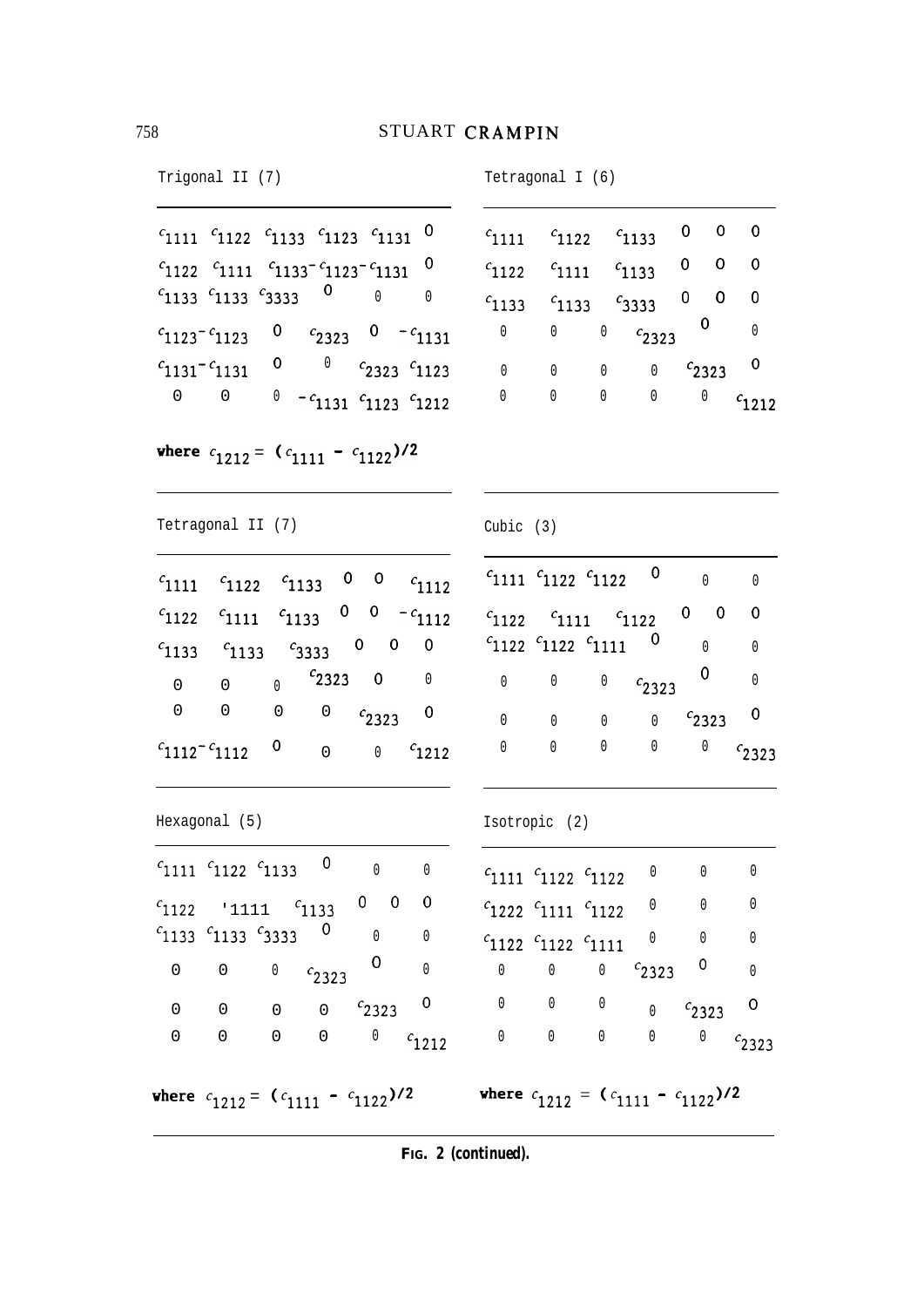```
Trigonal II (7)
```
Tetragonal I (6)

| $c_{1111}$ $c_{1122}$ $c_{1133}$ $c_{1123}$ $c_{1131}$ 0                                                      |                                       |                                              |              |                  | $c_{1111}$                           |                                    | $c_{1122}$ $c_{1133}$   |                | 0<br>$\mathbf{O}$                               | 0              |
|---------------------------------------------------------------------------------------------------------------|---------------------------------------|----------------------------------------------|--------------|------------------|--------------------------------------|------------------------------------|-------------------------|----------------|-------------------------------------------------|----------------|
| $c_{1122}$ $c_{1111}$ $c_{1133}$ $c_{1123}$ $c_{1131}$ 0                                                      |                                       |                                              |              |                  | $c_{1122}$                           |                                    | $c_{1111}$ $c_{1133}$   |                | 0<br>$\mathbf{0}$                               | 0              |
| $c_{1133}$ $c_{1133}$ $c_{3333}$ $c_{1133}$ $c_{1133}$ $c_{1133}$ $c_{1133}$ $c_{1133}$ $c_{1133}$ $c_{1133}$ |                                       |                                              |              | $\mathbb O$      | $c_{1133}$                           |                                    | $^{c}$ 1133 $^{c}$ 3333 |                | $\mathbf{0}$<br>$0 -$                           | 0              |
| $c_{1123}$ - $c_{1123}$ 0 $c_{2323}$ 0 - $c_{1131}$                                                           |                                       |                                              |              |                  | $\overline{0}$                       | $\overline{0}$                     | $\pmb{0}$               | $c_{2323}$     | $\boldsymbol{0}$                                | $\mathbb O$    |
| $c_{1131}$ - $c_{1131}$                                                                                       |                                       | 0 $0$ $c_{2323}$ $c_{1123}$                  |              |                  | 0                                    | $\overline{0}$                     |                         |                | 0 0 $c_{2323}$                                  | 0              |
| 0 0 0 $-c_{1131}c_{1123}c_{1212}$                                                                             |                                       |                                              |              |                  | 0                                    | $\overline{0}$                     | $0 \qquad \qquad$       |                | $\begin{matrix} 0 \end{matrix} \qquad \qquad 0$ | $c_{1212}$     |
| where $c_{1212} = (c_{1111} - c_{1122})/2$                                                                    |                                       |                                              |              |                  |                                      |                                    |                         |                |                                                 |                |
| Tetragonal II (7)                                                                                             |                                       |                                              |              |                  | Cubic $(3)$                          |                                    |                         |                |                                                 |                |
| $c_{1111}$ $c_{1122}$ $c_{1133}$ 0 0 $c_{1112}$                                                               |                                       |                                              |              |                  |                                      | $c_{1111}$ $c_{1122}$ $c_{1122}$ 0 |                         |                | $\theta$                                        | 0              |
| $c_{1122}$                                                                                                    | $c_{1111}$ $c_{1133}$ 0 0 $-c_{1112}$ |                                              |              |                  |                                      | $c_{1122}$ $c_{1111}$ $c_{1122}$   |                         |                | $0 \quad 0$                                     | 0              |
| $c_{1133}$ $c_{1133}$ $c_{3333}$ 0 0 0                                                                        |                                       |                                              |              |                  |                                      | $c_{1122}$ $c_{1122}$ $c_{1111}$   |                         | $\overline{0}$ | $\Omega$                                        | $\mathbf{0}$   |
| 0                                                                                                             | $\overline{0}$                        | $\begin{matrix} & c_{2323} & 0 \end{matrix}$ |              | $\mathbf{0}$     | $\mathbf 0$                          | $\overline{0}$                     |                         | 0 $c_{2323}$   | 0                                               | $\mathbf 0$    |
| $\mathsf{O}\xspace$<br>$\overline{0}$                                                                         | $\overline{0}$                        | 0 $c_{2323}$                                 |              | $\boldsymbol{0}$ | $\mathbf 0$                          | $\overline{0}$                     | $\mathbf{0}$            | 0              | $c_{2323}$                                      | 0              |
| $c_{1112}$ $c_{1112}$ 0 0 $c_{1212}$                                                                          |                                       |                                              |              |                  | $\mathbb O$                          | $\overline{0}$                     | $\overline{0}$          | $\overline{0}$ | $\mathbf{0}$                                    | $c_{2323}$     |
| Hexagonal (5)                                                                                                 |                                       |                                              |              |                  |                                      | Isotropic (2)                      |                         |                |                                                 |                |
| $c_{1111}$ $c_{1122}$ $c_{1133}$ 0                                                                            |                                       |                                              | $\mathbb{0}$ | $\mathbb{0}$     |                                      | $c_{1111}$ $c_{1122}$ $c_{1122}$   |                         | $\mathsf{0}$   | $\mathbb O$                                     | $\mathbb O$    |
| $c_{1122}$ $c_{1111}$ $c_{1133}$ 0 0 0                                                                        |                                       |                                              |              |                  | $c_{1222}$ $c_{1111}$ $c_{1122}$ 0 0 |                                    |                         |                |                                                 | $\pmb{0}$      |
| $c_{1133}$ $c_{1133}$ $c_{3333}$ 0 0 0 $c_{1122}$ $c_{1122}$ $c_{1111}$ 0 0 0                                 |                                       |                                              |              |                  |                                      |                                    |                         |                |                                                 |                |
| $\begin{matrix}0&0&0&c_{2323}&0&0\end{matrix}$                                                                |                                       |                                              |              |                  | 0 0 0 $c_{2323}$ 0                   |                                    |                         |                |                                                 | $\overline{0}$ |
| 0 0 0 0 $c_{2323}$ 0 0 0 0 0 $c_{2323}$ 0                                                                     |                                       |                                              |              |                  |                                      |                                    |                         |                |                                                 |                |
|                                                                                                               | 0 0 0 0 0 $c_{1212}$                  |                                              |              |                  | $0$ $0$ $0$ $0$ $0$ $0$ $c_{2323}$   |                                    |                         |                |                                                 |                |

**FIG.** *2 (continued).*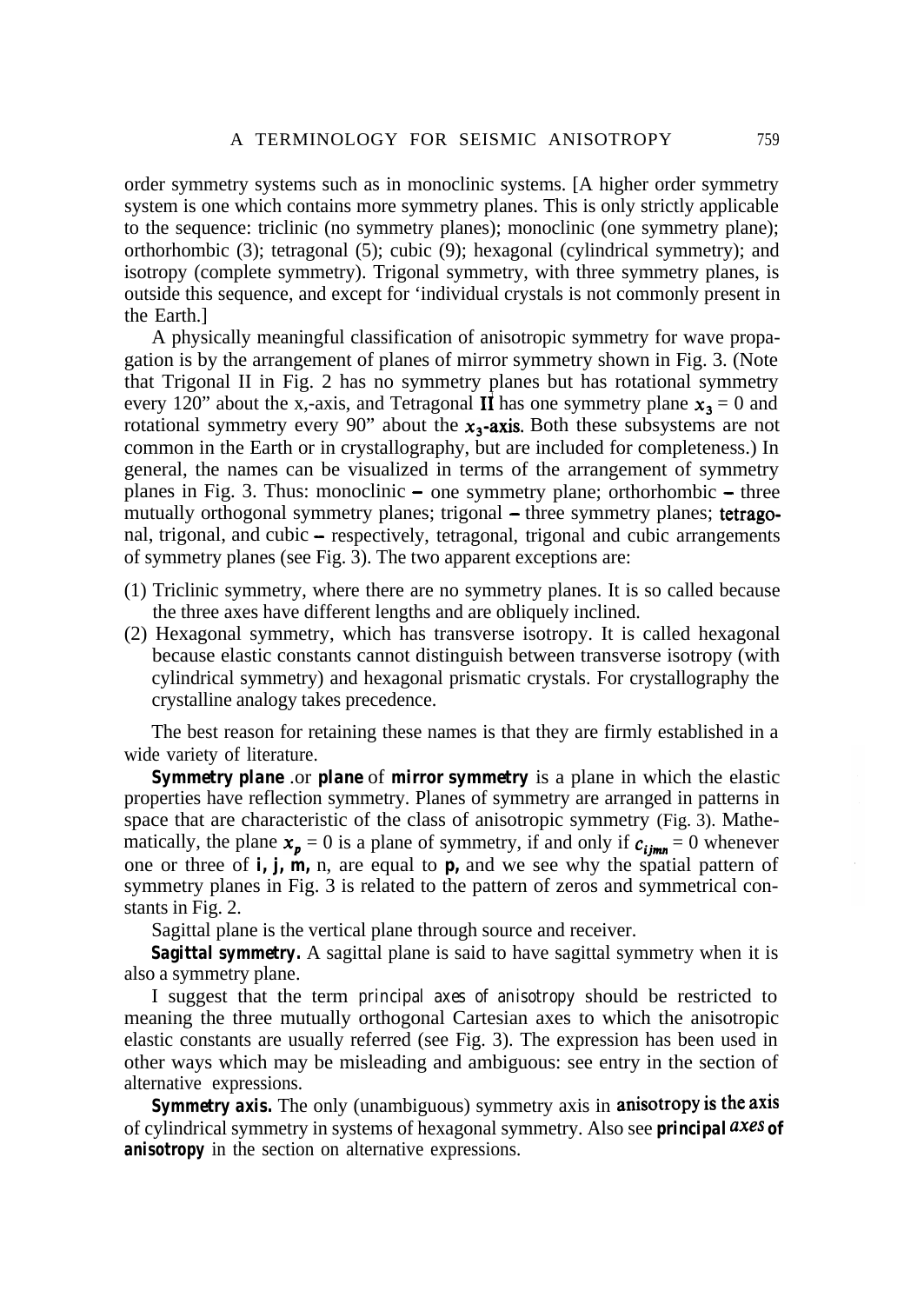order symmetry systems such as in monoclinic systems. [A higher order symmetry system is one which contains more symmetry planes. This is only strictly applicable to the sequence: triclinic (no symmetry planes); monoclinic (one symmetry plane); orthorhombic (3); tetragonal (5); cubic (9); hexagonal (cylindrical symmetry); and isotropy (complete symmetry). Trigonal symmetry, with three symmetry planes, is outside this sequence, and except for 'individual crystals is not commonly present in the Earth.]

A physically meaningful classification of anisotropic symmetry for wave propagation is by the arrangement of planes of mirror symmetry shown in Fig. 3. (Note that Trigonal II in Fig. 2 has no symmetry planes but has rotational symmetry every 120" about the x,-axis, and Tetragonal II has one symmetry plane  $x_3 = 0$  and rotational symmetry every 90" about the  $x_3$ -axis. Both these subsystems are not common in the Earth or in crystallography, but are included for completeness.) In general, the names can be visualized in terms of the arrangement of symmetry planes in Fig. 3. Thus: monoclinic  $-$  one symmetry plane; orthorhombic  $-$  three mutually orthogonal symmetry planes; trigonal  $\sim$  three symmetry planes; tetragonal, trigonal, and cubic – respectively, tetragonal, trigonal and cubic arrangements of symmetry planes (see Fig. 3). The two apparent exceptions are:

- (1) Triclinic symmetry, where there are no symmetry planes. It is so called because the three axes have different lengths and are obliquely inclined.
- (2) Hexagonal symmetry, which has transverse isotropy. It is called hexagonal because elastic constants cannot distinguish between transverse isotropy (with cylindrical symmetry) and hexagonal prismatic crystals. For crystallography the crystalline analogy takes precedence.

The best reason for retaining these names is that they are firmly established in a wide variety of literature.

**Symmetry plane** or **plane** of **mirror symmetry** is a plane in which the elastic properties have reflection symmetry. Planes of symmetry are arranged in patterns in space that are characteristic of the class of anisotropic symmetry (Fig. 3). Mathematically, the plane  $x_p = 0$  is a plane of symmetry, if and only if  $c_{ijmn} = 0$  whenever one or three of *i, j, m,* n, are equal to *p,* and we see why the spatial pattern of symmetry planes in Fig. 3 is related to the pattern of zeros and symmetrical constants in Fig. 2.

Sagittal plane is the vertical plane through source and receiver.

**Sagittal symmetry.** A sagittal plane is said to have sagittal symmetry when it is also a symmetry plane.

I suggest that the term *principal axes of anisotropy* should be restricted to meaning the three mutually orthogonal Cartesian axes to which the anisotropic elastic constants are usually referred (see Fig. 3). The expression has been used in other ways which may be misleading and ambiguous: see entry in the section of alternative expressions.

**Symmetry axis.** The only (unambiguous) symmetry axis in anisotropy is the axis of cylindrical symmetry in systems of hexagonal symmetry. Also see *principal axes of* **anisotropy** in the section on alternative expressions.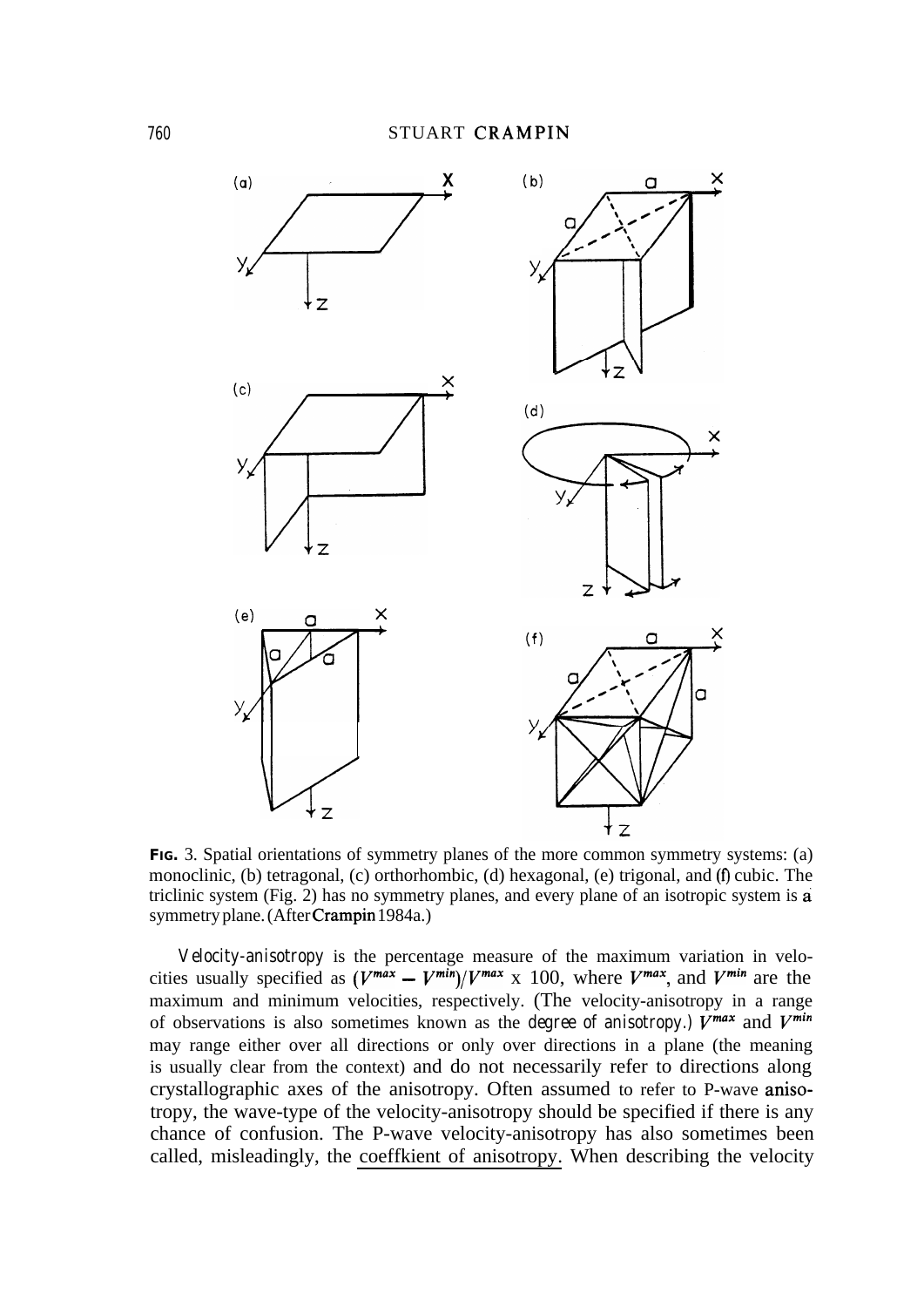

**FIG.** 3. Spatial orientations of symmetry planes of the more common symmetry systems: (a) monoclinic, (b) tetragonal, (c) orthorhombic, (d) hexagonal, (e) trigonal, and (f) cubic. The triclinic system (Fig. 2) has no symmetry planes, and every plane of an isotropic system is a symmetry plane. (After Crampin 1984a.)

*Velocity-anisotropy* is the percentage measure of the maximum variation in velocities usually specified as  $(V^{max} - V^{min})/V^{max} \times 100$ , where  $V^{max}$ , and  $V^{min}$  are the maximum and minimum velocities, respectively. (The velocity-anisotropy in a range of observations is also sometimes known as the *degree of anisotropy.)*  $V^{max}$  and  $V^{min}$ may range either over all directions or only over directions in a plane (the meaning is usually clear from the context) and do not necessarily refer to directions along crystallographic axes of the anisotropy. Often assumed to refer to P-wave anisotropy, the wave-type of the velocity-anisotropy should be specified if there is any chance of confusion. The P-wave velocity-anisotropy has also sometimes been called, misleadingly, the coeffkient of anisotropy. When describing the velocity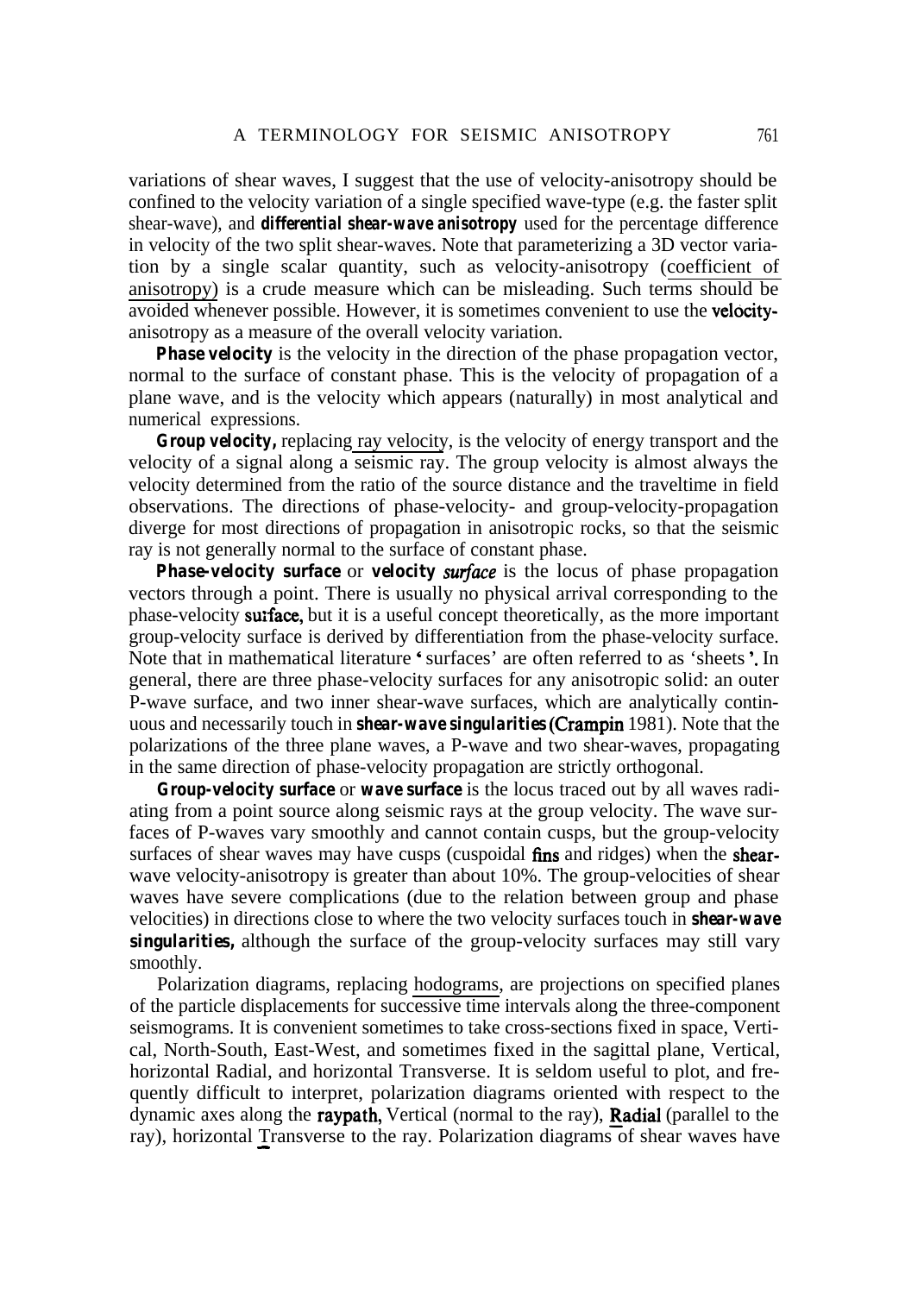variations of shear waves, I suggest that the use of velocity-anisotropy should be confined to the velocity variation of a single specified wave-type (e.g. the faster split shear-wave), and *differential shear-wave anisotropy* used for the percentage difference in velocity of the two split shear-waves. Note that parameterizing a 3D vector variation by a single scalar quantity, such as velocity-anisotropy (coefficient of anisotropy) is a crude measure which can be misleading. Such terms should be avoided whenever possible. However, it is sometimes convenient to use the velocityanisotropy as a measure of the overall velocity variation.

**Phase velocity** is the velocity in the direction of the phase propagation vector, normal to the surface of constant phase. This is the velocity of propagation of a plane wave, and is the velocity which appears (naturally) in most analytical and numerical expressions.

*Group velocity, replacing ray velocity, is the velocity of energy transport and the* velocity of a signal along a seismic ray. The group velocity is almost always the velocity determined from the ratio of the source distance and the traveltime in field observations. The directions of phase-velocity- and group-velocity-propagation diverge for most directions of propagation in anisotropic rocks, so that the seismic ray is not generally normal to the surface of constant phase.

**Phase-velocity surface** or **velocity surface** is the locus of phase propagation vectors through a point. There is usually no physical arrival corresponding to the phase-velocity surface, but it is a useful concept theoretically, as the more important group-velocity surface is derived by differentiation from the phase-velocity surface. Note that in mathematical literature ' surfaces' are often referred to as 'sheets '. In general, there are three phase-velocity surfaces for any anisotropic solid: an outer P-wave surface, and two inner shear-wave surfaces, which are analytically continuous and necessarily touch in *shear-wave singularities* (Crampin 1981). Note that the polarizations of the three plane waves, a P-wave and two shear-waves, propagating in the same direction of phase-velocity propagation are strictly orthogonal.

*Group-velocity surface* or *wave surface* is the locus traced out by all waves radiating from a point source along seismic rays at the group velocity. The wave surfaces of P-waves vary smoothly and cannot contain cusps, but the group-velocity surfaces of shear waves may have cusps (cuspoidal fins and ridges) when the shearwave velocity-anisotropy is greater than about 10%. The group-velocities of shear waves have severe complications (due to the relation between group and phase velocities) in directions close to where the two velocity surfaces touch in *shear-wave singularities,* although the surface of the group-velocity surfaces may still vary smoothly.

Polarization diagrams, replacing hodograms, are projections on specified planes of the particle displacements for successive time intervals along the three-component seismograms. It is convenient sometimes to take cross-sections fixed in space, Vertical, North-South, East-West, and sometimes fixed in the sagittal plane, Vertical, horizontal Radial, and horizontal Transverse. It is seldom useful to plot, and frequently difficult to interpret, polarization diagrams oriented with respect to the dynamic axes along the raypath, Vertical (normal to the ray), Radial (parallel to the ray), horizontal Transverse to the ray. Polarization diagrams of shear waves have -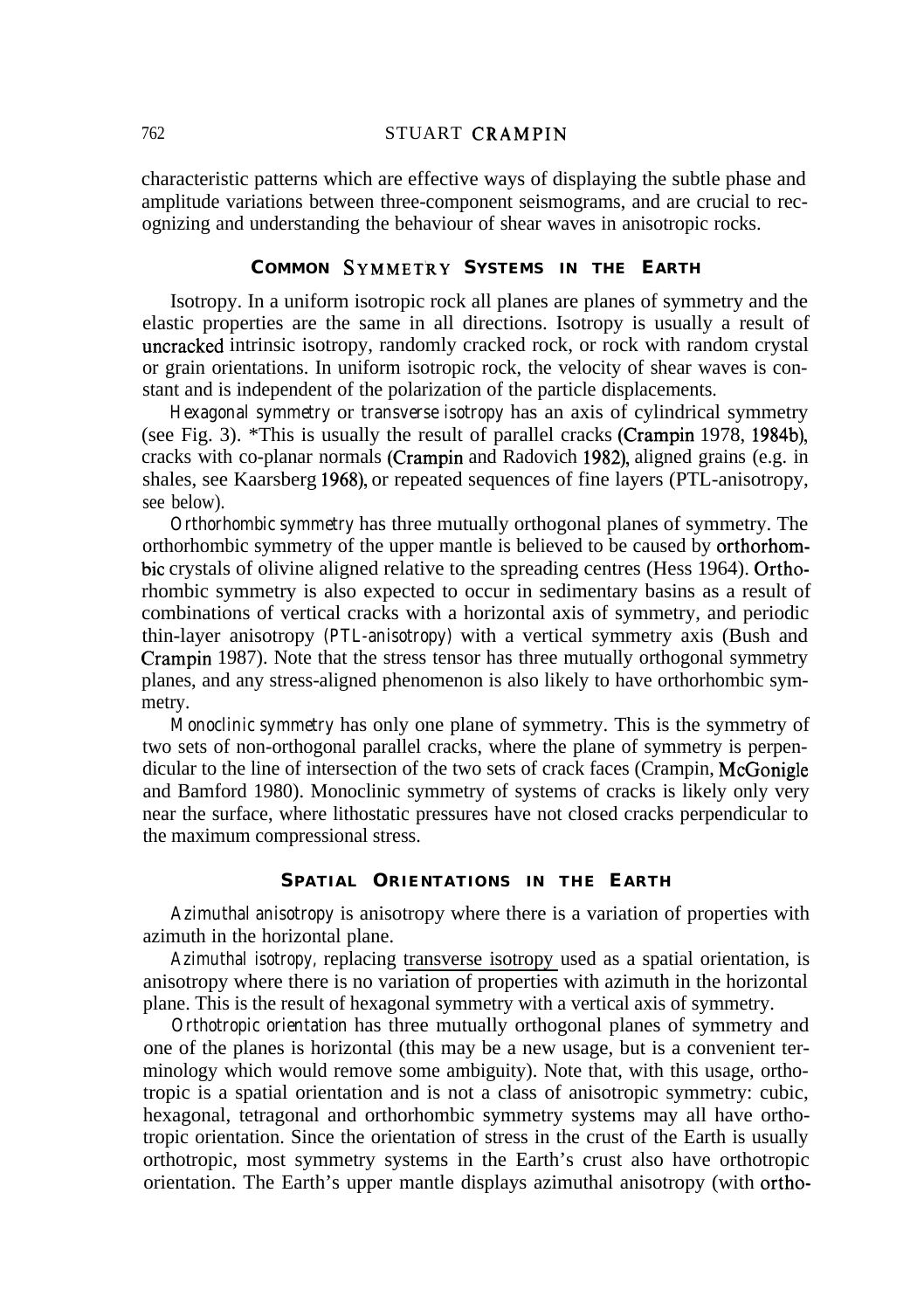## 762 STUART CRAMPIN

characteristic patterns which are effective ways of displaying the subtle phase and amplitude variations between three-component seismograms, and are crucial to recognizing and understanding the behaviour of shear waves in anisotropic rocks.

# **COMMON SYMMETRY SYSTEMS IN THE EARTH**

Isotropy. In a uniform isotropic rock all planes are planes of symmetry and the elastic properties are the same in all directions. Isotropy is usually a result of uncracked intrinsic isotropy, randomly cracked rock, or rock with random crystal or grain orientations. In uniform isotropic rock, the velocity of shear waves is constant and is independent of the polarization of the particle displacements.

*Hexagonal symmetry* or *transverse isotropy* has an axis of cylindrical symmetry (see Fig. 3). \*This is usually the result of parallel cracks (Crampin 1978, 1984b), cracks with co-planar normals (Crampin and Radovich 1982), aligned grains (e.g. in shales, see Kaarsberg 1968), or repeated sequences of fine layers (PTL-anisotropy, see below).

*Orthorhombic symmetry* has three mutually orthogonal planes of symmetry. The orthorhombic symmetry of the upper mantle is believed to be caused by orthorhombic crystals of olivine aligned relative to the spreading centres (Hess 1964). Orthorhombic symmetry is also expected to occur in sedimentary basins as a result of combinations of vertical cracks with a horizontal axis of symmetry, and periodic thin-layer anisotropy *(PTL-anisotropy)* with a vertical symmetry axis (Bush and Crampin 1987). Note that the stress tensor has three mutually orthogonal symmetry planes, and any stress-aligned phenomenon is also likely to have orthorhombic symmetry.

*Monoclinic symmetry* has only one plane of symmetry. This is the symmetry of two sets of non-orthogonal parallel cracks, where the plane of symmetry is perpendicular to the line of intersection of the two sets of crack faces (Crampin, McGonigle and Bamford 1980). Monoclinic symmetry of systems of cracks is likely only very near the surface, where lithostatic pressures have not closed cracks perpendicular to the maximum compressional stress.

## **SPATIAL ORIENTATIONS IN THE EARTH**

*Azimuthal anisotropy* is anisotropy where there is a variation of properties with azimuth in the horizontal plane.

*Azimuthal isotropy,* replacing transverse isotropy used as a spatial orientation, is anisotropy where there is no variation of properties with azimuth in the horizontal plane. This is the result of hexagonal symmetry with a vertical axis of symmetry.

*Orthotropic orientation* has three mutually orthogonal planes of symmetry and one of the planes is horizontal (this may be a new usage, but is a convenient terminology which would remove some ambiguity). Note that, with this usage, orthotropic is a spatial orientation and is not a class of anisotropic symmetry: cubic, hexagonal, tetragonal and orthorhombic symmetry systems may all have orthotropic orientation. Since the orientation of stress in the crust of the Earth is usually orthotropic, most symmetry systems in the Earth's crust also have orthotropic orientation. The Earth's upper mantle displays azimuthal anisotropy (with ortho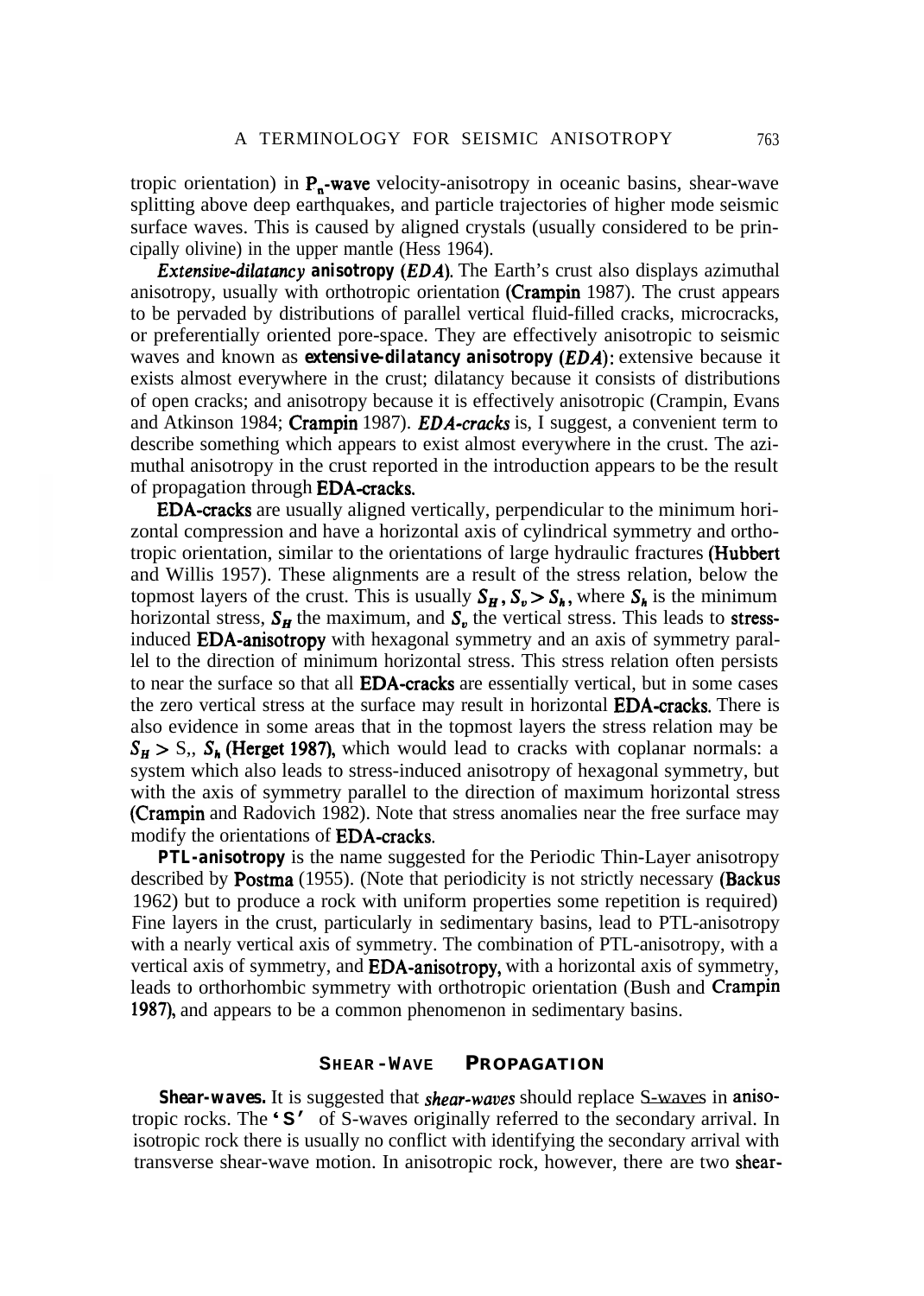tropic orientation) in  $P_n$ -wave velocity-anisotropy in oceanic basins, shear-wave splitting above deep earthquakes, and particle trajectories of higher mode seismic surface waves. This is caused by aligned crystals (usually considered to be principally olivine) in the upper mantle (Hess 1964).

**Extensive-dilatancy anisotropy (EDA).** The Earth's crust also displays azimuthal anisotropy, usually with orthotropic orientation (Crampin 1987). The crust appears to be pervaded by distributions of parallel vertical fluid-filled cracks, microcracks, or preferentially oriented pore-space. They are effectively anisotropic to seismic waves and known as *extensive-dilatancy anisotropy (EDA):* extensive because it exists almost everywhere in the crust; dilatancy because it consists of distributions of open cracks; and anisotropy because it is effectively anisotropic (Crampin, Evans and Atkinson 1984; Crampin 1987). *EDA-cracks* is, I suggest, a convenient term to describe something which appears to exist almost everywhere in the crust. The azimuthal anisotropy in the crust reported in the introduction appears to be the result of propagation through EDA-cracks.

EDA-cracks are usually aligned vertically, perpendicular to the minimum horizontal compression and have a horizontal axis of cylindrical symmetry and orthotropic orientation, similar to the orientations of large hydraulic fractures (Hubbert and Willis 1957). These alignments are a result of the stress relation, below the topmost layers of the crust. This is usually  $S_H$ ,  $S_v > S_h$ , where  $S_h$  is the minimum horizontal stress,  $S_H$  the maximum, and  $S_v$  the vertical stress. This leads to stressinduced EDA-anisotropy with hexagonal symmetry and an axis of symmetry parallel to the direction of minimum horizontal stress. This stress relation often persists to near the surface so that all EDA-cracks are essentially vertical, but in some cases the zero vertical stress at the surface may result in horizontal EDA-cracks. There is also evidence in some areas that in the topmost layers the stress relation may be  $S_H > S_{\rm th}$ , (Herget 1987), which would lead to cracks with coplanar normals: a system which also leads to stress-induced anisotropy of hexagonal symmetry, but with the axis of symmetry parallel to the direction of maximum horizontal stress (Crampin and Radovich 1982). Note that stress anomalies near the free surface may modify the orientations of EDA-cracks.

*PTL-anisotropy* is the name suggested for the Periodic Thin-Layer anisotropy described by Postma (1955). (Note that periodicity is not strictly necessary (Backus 1962) but to produce a rock with uniform properties some repetition is required) Fine layers in the crust, particularly in sedimentary basins, lead to PTL-anisotropy with a nearly vertical axis of symmetry. The combination of PTL-anisotropy, with a vertical axis of symmetry, and EDA-anisotropy, with a horizontal axis of symmetry, leads to orthorhombic symmetry with orthotropic orientation (Bush and Crampin 1987), and appears to be a common phenomenon in sedimentary basins.

### **SHEAR -WAVE PROPAGATION**

**Shear-waves.** It is suggested that shear-waves should replace S-waves in anisotropic rocks. The ' **S'** of S-waves originally referred to the secondary arrival. In isotropic rock there is usually no conflict with identifying the secondary arrival with transverse shear-wave motion. In anisotropic rock, however, there are two shear-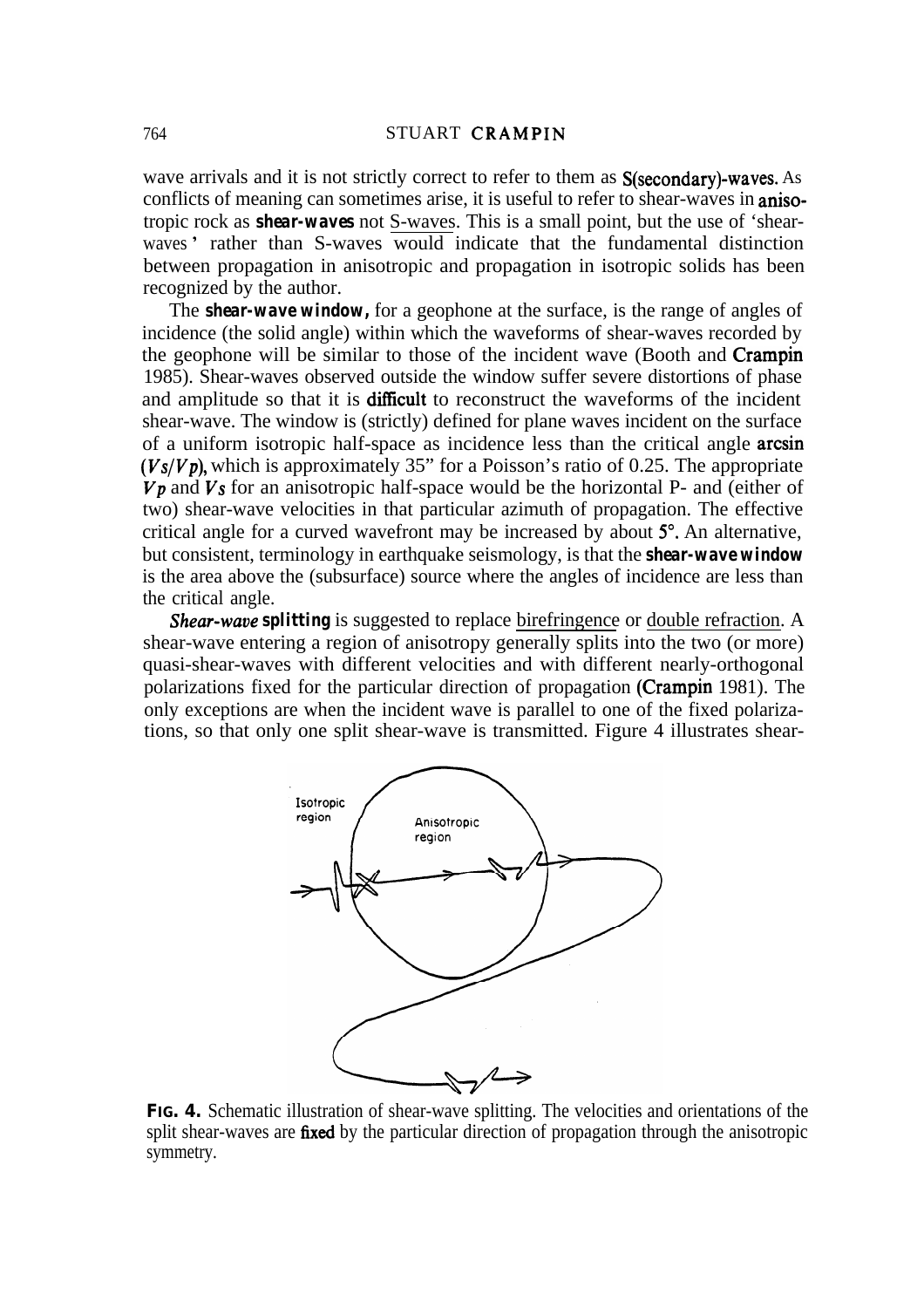# 764 STUART CRAMPIN

wave arrivals and it is not strictly correct to refer to them as S(secondary)-waves. As conflicts of meaning can sometimes arise, it is useful to refer to shear-waves in anisetropic rock as *shear-waves* not S-waves. This is a small point, but the use of 'shearwaves' rather than S-waves would indicate that the fundamental distinction between propagation in anisotropic and propagation in isotropic solids has been recognized by the author.

The *shear-wave window,* for a geophone at the surface, is the range of angles of incidence (the solid angle) within which the waveforms of shear-waves recorded by the geophone will be similar to those of the incident wave (Booth and Crampin 1985). Shear-waves observed outside the window suffer severe distortions of phase and amplitude so that it is difficult to reconstruct the waveforms of the incident shear-wave. The window is (strictly) defined for plane waves incident on the surface of a uniform isotropic half-space as incidence less than the critical angle arcsin  $(Vs/Vp)$ , which is approximately 35" for a Poisson's ratio of 0.25. The appropriate *V<sub>p</sub>* and *V<sub>s</sub>* for an anisotropic half-space would be the horizontal P- and (either of two) shear-wave velocities in that particular azimuth of propagation. The effective critical angle for a curved wavefront may be increased by about 5'. An alternative, but consistent, terminology in earthquake seismology, is that the *shear-wave window* is the area above the (subsurface) source where the angles of incidence are less than the critical angle.

*Shear-wave splitting* is suggested to replace birefringence or double refraction. A shear-wave entering a region of anisotropy generally splits into the two (or more) quasi-shear-waves with different velocities and with different nearly-orthogonal polarizations fixed for the particular direction of propagation (Crampin 1981). The only exceptions are when the incident wave is parallel to one of the fixed polarizations, so that only one split shear-wave is transmitted. Figure 4 illustrates shear-



**FIG. 4.** Schematic illustration of shear-wave splitting. The velocities and orientations of the split shear-waves are **fixed** by the particular direction of propagation through the anisotropic symmetry.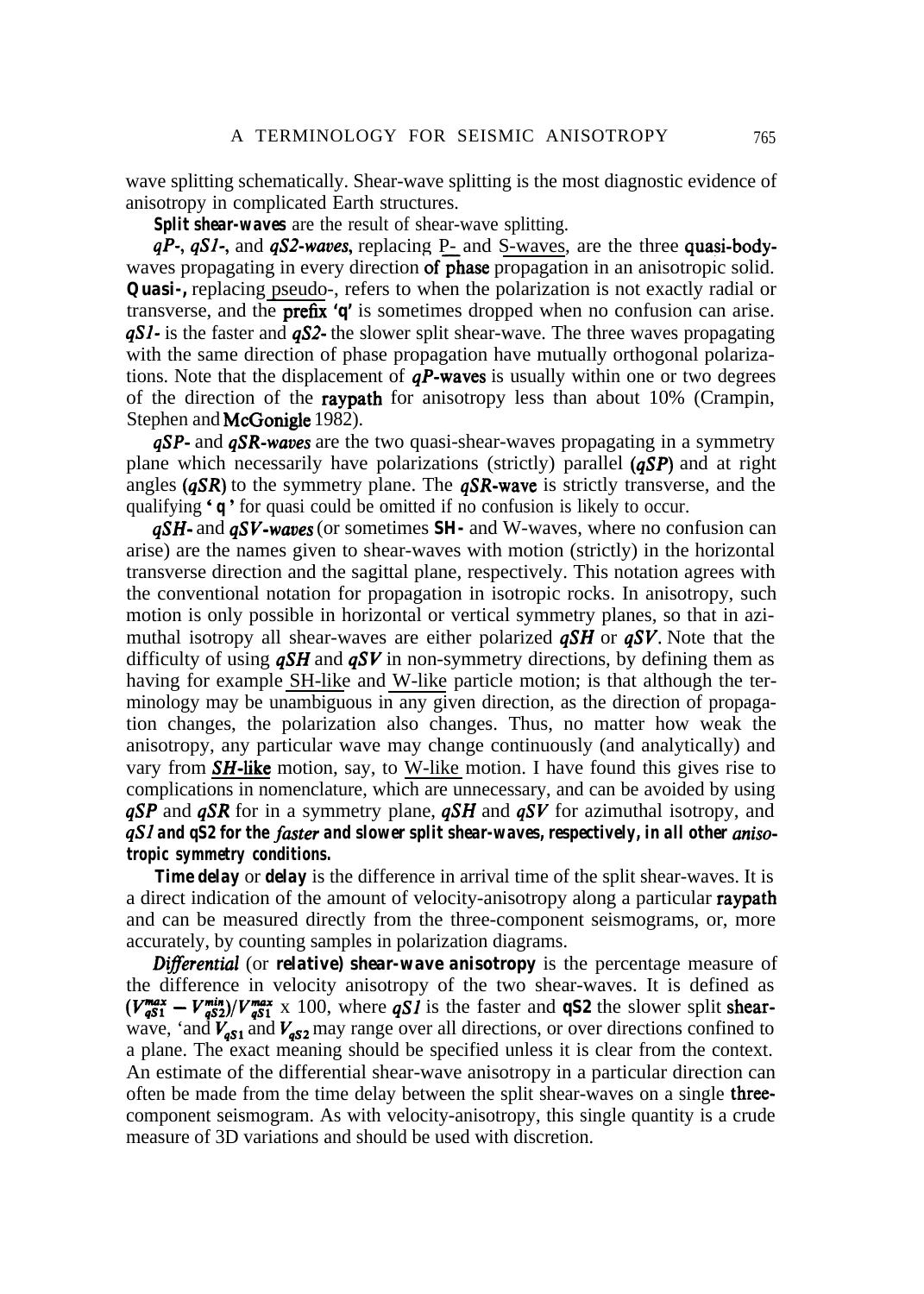wave splitting schematically. Shear-wave splitting is the most diagnostic evidence of anisotropy in complicated Earth structures.

*Split shear-waves* are the result of shear-wave splitting.

qP-, @I-, and *qS2-waves,* replacing P- and S-waves, are the three quasi-bodywaves propagating in every direction of phase propagation in an anisotropic solid. *Quasi-,* replacing pseudo-, refers to when the polarization is not exactly radial or transverse, and the prefix *'q'* is sometimes dropped when no confusion can arise. *qSl-* is the faster and *qS2-* the slower split shear-wave. The three waves propagating with the same direction of phase propagation have mutually orthogonal polarizations. Note that the displacement of  $qP$ -waves is usually within one or two degrees of the direction of the raypath for anisotropy less than about 10% (Crampin, Stephen and **McGonigle** 1982).

*qSP-* and *qSR-waves* are the two quasi-shear-waves propagating in a symmetry plane which necessarily have polarizations (strictly) parallel *(qSP)* and at right angles *(qSR)* to the symmetry plane. The qSR-wave is strictly transverse, and the qualifying ' *q* ' for quasi could be omitted if no confusion is likely to occur.

*qSH-* and *qSV-waves* (or sometimes *SH-* and W-waves, where no confusion can arise) are the names given to shear-waves with motion (strictly) in the horizontal transverse direction and the sagittal plane, respectively. This notation agrees with the conventional notation for propagation in isotropic rocks. In anisotropy, such motion is only possible in horizontal or vertical symmetry planes, so that in azimuthal isotropy all shear-waves are either polarized *qSH* or *qSV.* Note that the difficulty of using *qSH* and *qSV* in non-symmetry directions, by defining them as having for example SH-like and W-like particle motion; is that although the terminology may be unambiguous in any given direction, as the direction of propagation changes, the polarization also changes. Thus, no matter how weak the anisotropy, any particular wave may change continuously (and analytically) and vary from **SH-like** motion, say, to W-like motion. I have found this gives rise to complications in nomenclature, which are unnecessary, and can be avoided by using *qSP* and *qSR* for in a symmetry plane, *qSH* and *qSV* for azimuthal isotropy, and qS1 and qS2 for the faster and slower split shear-waves, respectively, in all other aniso*tropic symmetry conditions.*

*Time delay* or *delay* is the difference in arrival time of the split shear-waves. It is a direct indication of the amount of velocity-anisotropy along a particular raypath and can be measured directly from the three-component seismograms, or, more accurately, by counting samples in polarization diagrams.

*Differential* (or *relative)* **shear-wave anisotropy** is the percentage measure of the difference in velocity anisotropy of the two shear-waves. It is defined as  $(V_{qS1}^{max} - V_{qS2}^{min})/V_{qS1}^{max} \times 100$ , where  $qS1$  is the faster and  $qS2$  the slower split shearwave, 'and  $V_{qS1}$  and  $V_{qS2}$  may range over all directions, or over directions confined to a plane. The exact meaning should be specified unless it is clear from the context. An estimate of the differential shear-wave anisotropy in a particular direction can often be made from the time delay between the split shear-waves on a single threecomponent seismogram. As with velocity-anisotropy, this single quantity is a crude measure of 3D variations and should be used with discretion.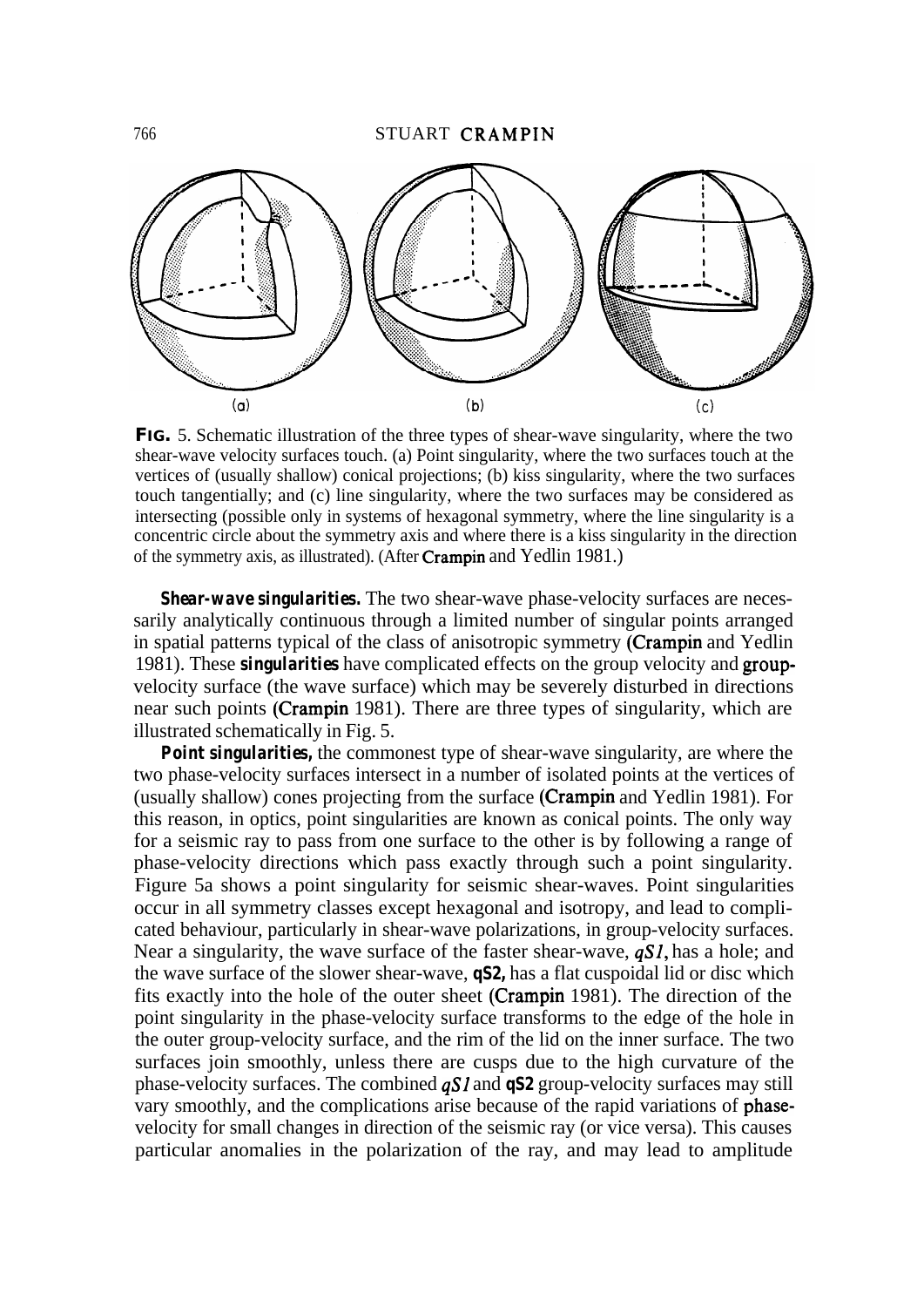

**FIG.** 5. Schematic illustration of the three types of shear-wave singularity, where the two shear-wave velocity surfaces touch. (a) Point singularity, where the two surfaces touch at the vertices of (usually shallow) conical projections; (b) kiss singularity, where the two surfaces touch tangentially; and (c) line singularity, where the two surfaces may be considered as intersecting (possible only in systems of hexagonal symmetry, where the line singularity is a concentric circle about the symmetry axis and where there is a kiss singularity in the direction of the symmetry axis, as illustrated). (After Crampin and Yedlin 1981.)

*Shear-wave singularities.* The two shear-wave phase-velocity surfaces are necessarily analytically continuous through a limited number of singular points arranged in spatial patterns typical of the class of anisotropic symmetry (Crampin and Yedlin 1981). These *singularities* have complicated effects on the group velocity and groupvelocity surface (the wave surface) which may be severely disturbed in directions near such points (Crampin 1981). There are three types of singularity, which are illustrated schematically in Fig. 5.

**Point singularities,** the commonest type of shear-wave singularity, are where the two phase-velocity surfaces intersect in a number of isolated points at the vertices of (usually shallow) cones projecting from the surface (Crampin and Yedlin 1981). For this reason, in optics, point singularities are known as conical points. The only way for a seismic ray to pass from one surface to the other is by following a range of phase-velocity directions which pass exactly through such a point singularity. Figure 5a shows a point singularity for seismic shear-waves. Point singularities occur in all symmetry classes except hexagonal and isotropy, and lead to complicated behaviour, particularly in shear-wave polarizations, in group-velocity surfaces. Near a singularity, the wave surface of the faster shear-wave, *qSI,* has a hole; and the wave surface of the slower shear-wave, *qS2,* has a flat cuspoidal lid or disc which fits exactly into the hole of the outer sheet (Crampin 1981). The direction of the point singularity in the phase-velocity surface transforms to the edge of the hole in the outer group-velocity surface, and the rim of the lid on the inner surface. The two surfaces join smoothly, unless there are cusps due to the high curvature of the phase-velocity surfaces. The combined *qSI* and *qS2* group-velocity surfaces may still vary smoothly, and the complications arise because of the rapid variations of phasevelocity for small changes in direction of the seismic ray (or vice versa). This causes particular anomalies in the polarization of the ray, and may lead to amplitude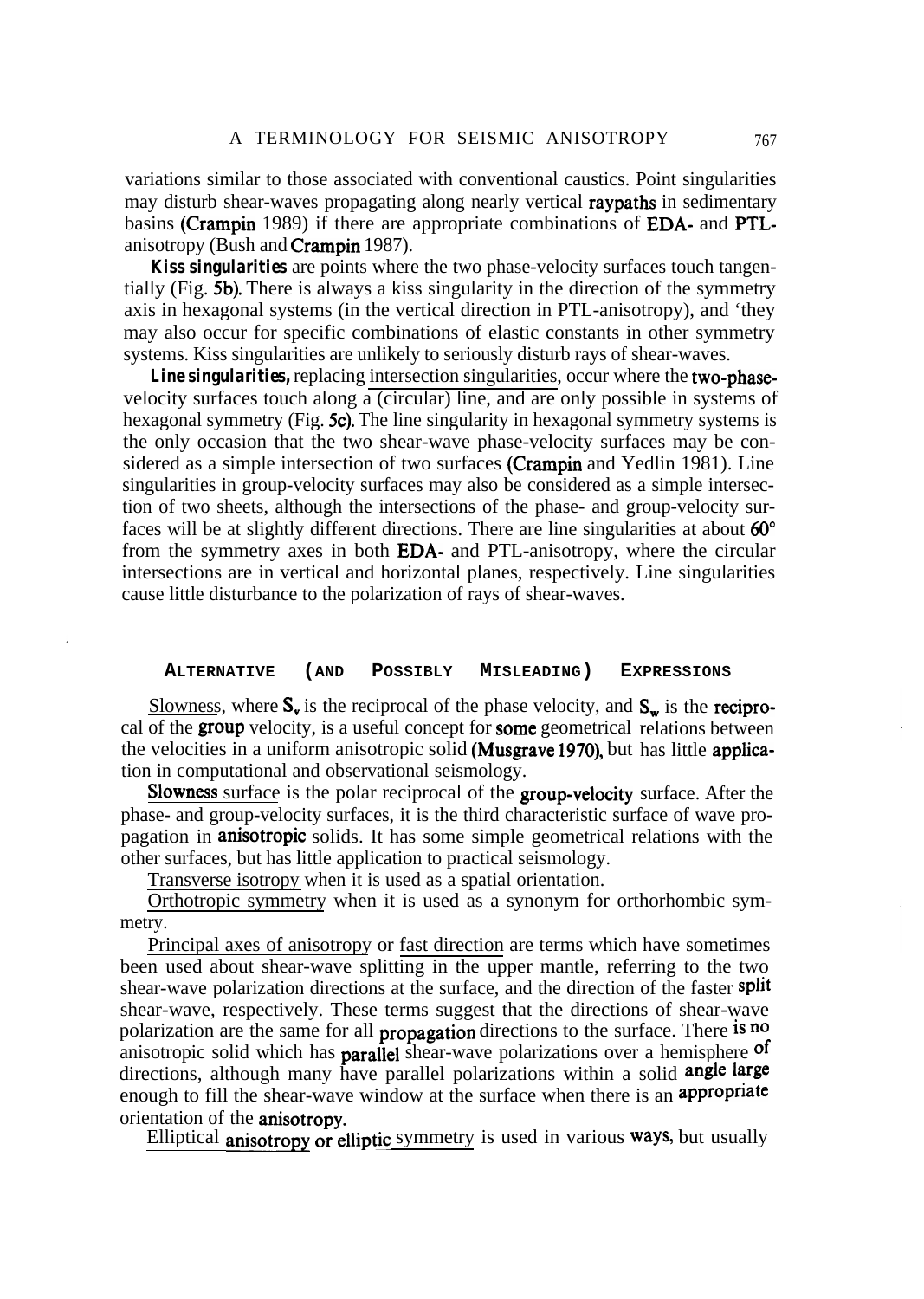variations similar to those associated with conventional caustics. Point singularities may disturb shear-waves propagating along nearly vertical raypaths in sedimentary basins (Crampin 1989) if there are appropriate combinations of EDA- and PTLanisotropy (Bush and Crampin 1987).

*Kiss singularities* are points where the two phase-velocity surfaces touch tangentially (Fig. 5b). There is always a kiss singularity in the direction of the symmetry axis in hexagonal systems (in the vertical direction in PTL-anisotropy), and 'they may also occur for specific combinations of elastic constants in other symmetry systems. Kiss singularities are unlikely to seriously disturb rays of shear-waves.

*Line singularities, replacing intersection singularities, occur where the two-phase*velocity surfaces touch along a (circular) line, and are only possible in systems of hexagonal symmetry (Fig. 5c). The line singularity in hexagonal symmetry systems is the only occasion that the two shear-wave phase-velocity surfaces may be considered as a simple intersection of two surfaces (Crampin and Yedlin 1981). Line singularities in group-velocity surfaces may also be considered as a simple intersection of two sheets, although the intersections of the phase- and group-velocity surfaces will be at slightly different directions. There are line singularities at about 60<sup>°</sup> from the symmetry axes in both EDA- and PTL-anisotropy, where the circular intersections are in vertical and horizontal planes, respectively. Line singularities cause little disturbance to the polarization of rays of shear-waves.

#### **ALTERNATIVE (AND POSSIBLY MISLEADING) EXPRESSIONS**

Slowness, where  $S_v$  is the reciprocal of the phase velocity, and  $S_w$  is the reciprocal of the **group** velocity, is a useful concept for **some** geometrical relations between the velocities in a uniform anisotropic solid (Musgrave 1970), but has little application in computational and observational seismology.

Slowness surface is the polar reciprocal of the group-velocity surface. After the phase- and group-velocity surfaces, it is the third characteristic surface of wave propagation in anisotropic solids. It has some simple geometrical relations with the other surfaces, but has little application to practical seismology.

Transverse isotropy when it is used as a spatial orientation.

Orthotropic symmetry when it is used as a synonym for orthorhombic symmetry.

Principal axes of anisotropy or fast direction are terms which have sometimes been used about shear-wave splitting in the upper mantle, referring to the two shear-wave polarization directions at the surface, and the direction of the faster split shear-wave, respectively. These terms suggest that the directions of shear-wave polarization are the same for all **propagation** directions to the surface. There is no anisotropic solid which has **parallel** shear-wave polarizations over a hemisphere of directions, although many have parallel polarizations within a solid angle large enough to fill the shear-wave window at the surface when there is an appropriate orientation of the anisotropy.

Elliptical anisotropy or elliptic symmetry is used in various ways, but usually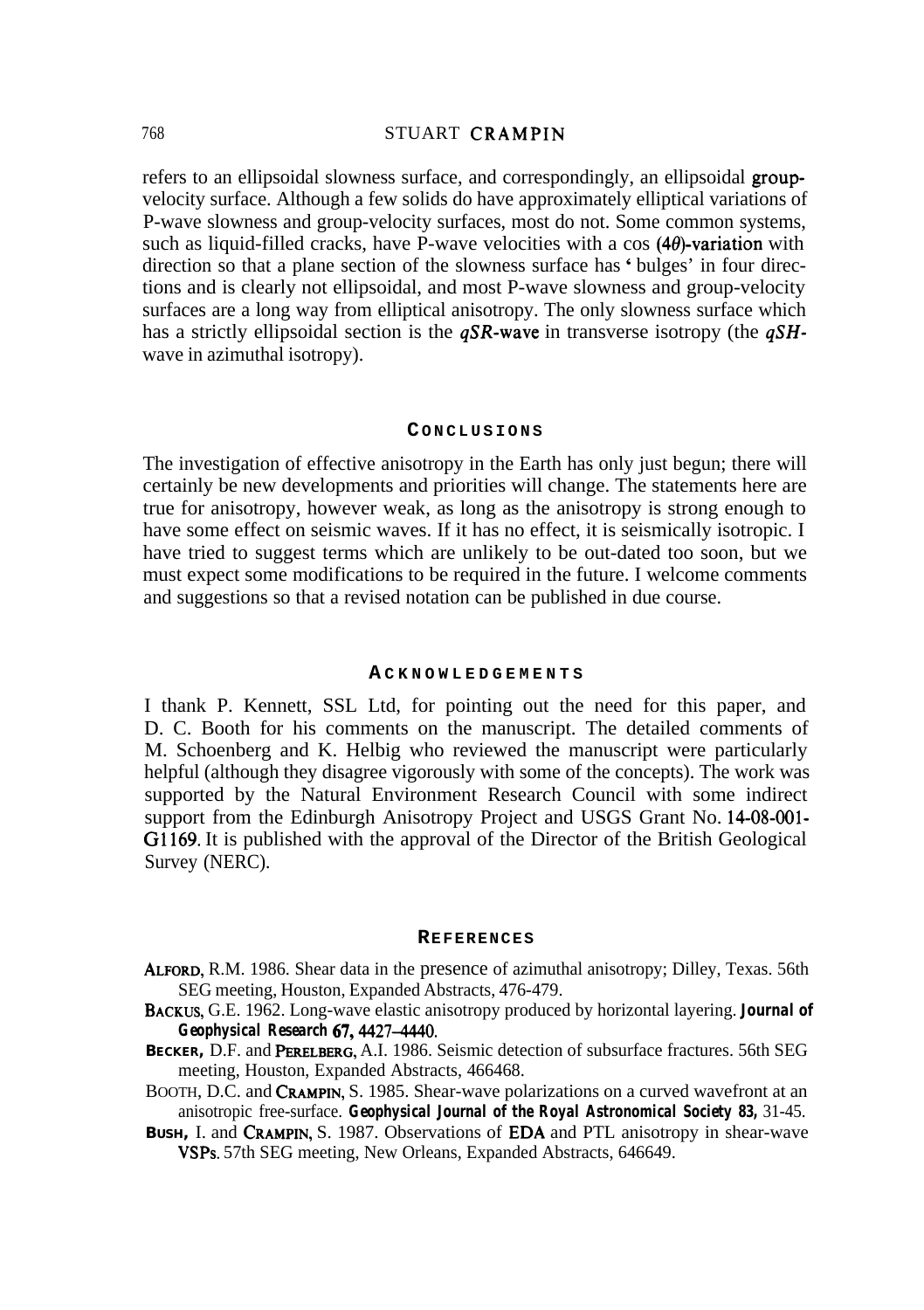## 768 STUART CRAMPIN

refers to an ellipsoidal slowness surface, and correspondingly, an ellipsoidal groupvelocity surface. Although a few solids do have approximately elliptical variations of P-wave slowness and group-velocity surfaces, most do not. Some common systems, such as liquid-filled cracks, have P-wave velocities with a cos  $(4\theta)$ -variation with direction so that a plane section of the slowness surface has ' bulges' in four directions and is clearly not ellipsoidal, and most P-wave slowness and group-velocity surfaces are a long way from elliptical anisotropy. The only slowness surface which has a strictly ellipsoidal section is the  $qSR$ -wave in transverse isotropy (the  $qSH$ wave in azimuthal isotropy).

#### **CONCLUSION S**

The investigation of effective anisotropy in the Earth has only just begun; there will certainly be new developments and priorities will change. The statements here are true for anisotropy, however weak, as long as the anisotropy is strong enough to have some effect on seismic waves. If it has no effect, it is seismically isotropic. I have tried to suggest terms which are unlikely to be out-dated too soon, but we must expect some modifications to be required in the future. I welcome comments and suggestions so that a revised notation can be published in due course.

#### **A CKNOWLEDGEMENT S**

I thank P. Kennett, SSL Ltd, for pointing out the need for this paper, and D. C. Booth for his comments on the manuscript. The detailed comments of M. Schoenberg and K. Helbig who reviewed the manuscript were particularly helpful (although they disagree vigorously with some of the concepts). The work was supported by the Natural Environment Research Council with some indirect support from the Edinburgh Anisotropy Project and USGS Grant No. 14-08-001- G1169. It is published with the approval of the Director of the British Geological Survey (NERC).

#### **REFERENCES**

- **ALFORD,** R.M. 1986. Shear data in the presence of azimuthal anisotropy; Dilley, Texas. 56th SEG meeting, Houston, Expanded Abstracts, 476-479.
- **BACKUS,** G.E. 1962. Long-wave elastic anisotropy produced by horizontal layering. *Journal of Geophysical Research 67,4427-4440.*
- **BECKER,** D.F. and **PERELBERG,** A.I. 1986. Seismic detection of subsurface fractures. 56th SEG meeting, Houston, Expanded Abstracts, 466468.
- BOOTH, D.C. and **CRAMPIN,** S. 1985. Shear-wave polarizations on a curved wavefront at an anisotropic free-surface. *Geophysical Journal of the Royal Astronomical Society 83,* 31-45.
- BUSH, I. and CRAMPIN, S. 1987. Observations of EDA and PTL anisotropy in shear-wave VSPs. 57th SEG meeting, New Orleans, Expanded Abstracts, 646649.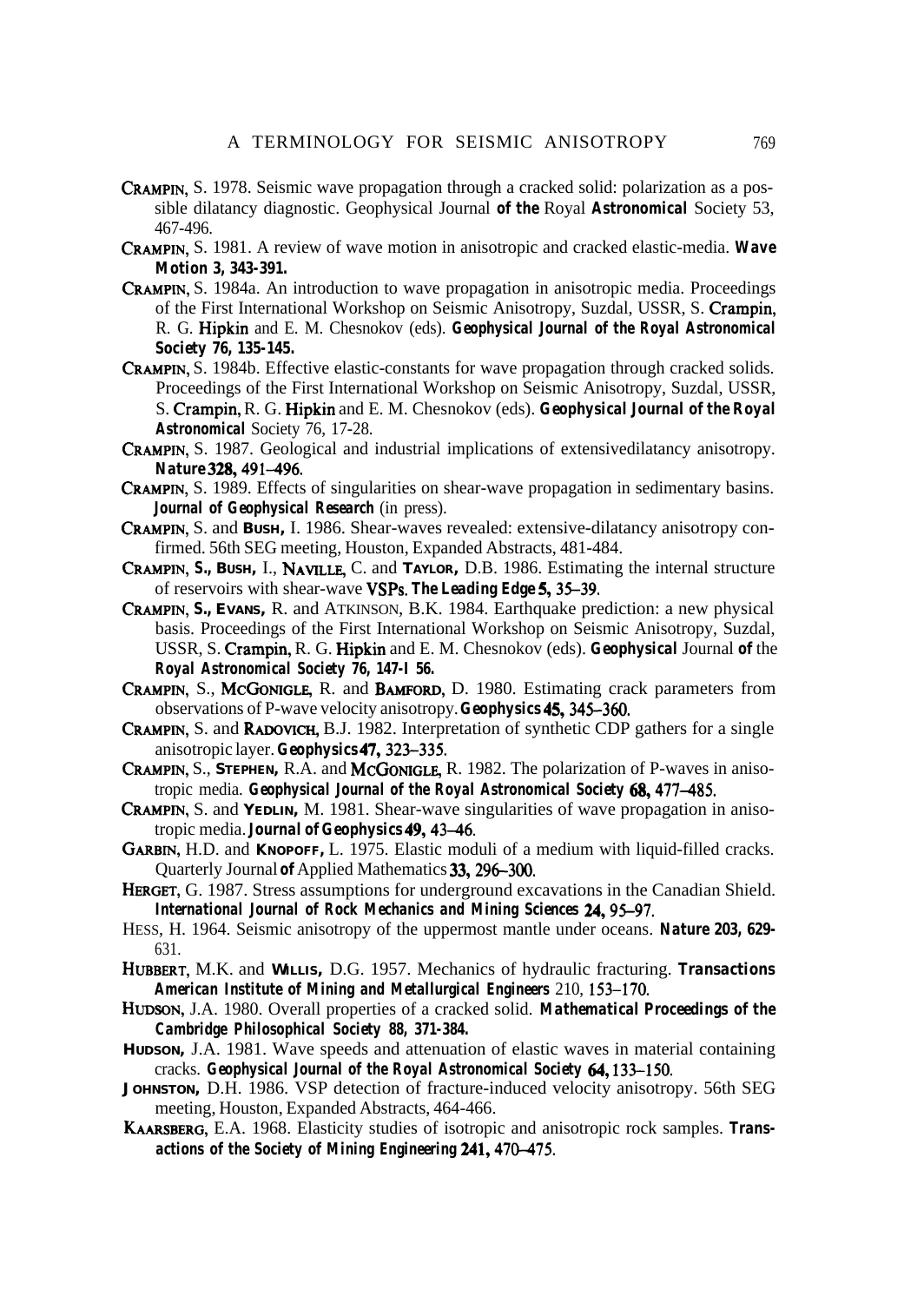- **CRAMPIN,** S. 1978. Seismic wave propagation through a cracked solid: polarization as a possible dilatancy diagnostic. Geophysical Journal *of the* Royal *Astronomical* Society 53, 467-496.
- **CRAMPIN,** S. 1981. A review of wave motion in anisotropic and cracked elastic-media. *Wave Motion 3, 343-391.*
- **CRAMPIN,** S. 1984a. An introduction to wave propagation in anisotropic media. Proceedings of the First International Workshop on Seismic Anisotropy, Suzdal, USSR, S. Crampin, R. G. Hipkin and E. M. Chesnokov (eds). *Geophysical Journal of the Royal Astronomical Society 76, 135-145.*
- **CRAMPIN,** S. 1984b. Effective elastic-constants for wave propagation through cracked solids. Proceedings of the First International Workshop on Seismic Anisotropy, Suzdal, USSR, S. Crampin, R. G. Hipkin and E. M. Chesnokov (eds). *Geophysical Journal of the Royal Astronomical* Society 76, 17-28.
- **CRAMPIN,** S. 1987. Geological and industrial implications of extensivedilatancy anisotropy. *Nature 328,491-496.*
- **CRAMPIN,** S. 1989. Effects of singularities on shear-wave propagation in sedimentary basins. *Journal of Geophysical Research* (in press).
- **CRAMPIN,** S. and **BUSH,** I. 1986. Shear-waves revealed: extensive-dilatancy anisotropy confirmed. 56th SEG meeting, Houston, Expanded Abstracts, 481-484.
- **CRAMPIN,** *S.,* **BUSH,** I., **NAVILLE,** C. and **TAYLOR,** D.B. 1986. Estimating the internal structure of reservoirs with shear-wave VSPs. *The Leading Edge 5,35-39.*
- **CRAMPIN,** *S.,* **EVANS,** R. and ATKINSON, B.K. 1984. Earthquake prediction: a new physical basis. Proceedings of the First International Workshop on Seismic Anisotropy, Suzdal, USSR, S. Crampin, R. G. Hipkin and E. M. Chesnokov (eds). *Geophysical* Journal *of* the *Royal Astronomical Society 76, 147-I 56.*
- **CRAMPIN,** S., **MCGOMGLE,** R. and BAMFORD, D. 1980. Estimating crack parameters from observations of P-wave velocity anisotropy. *Geophysics 45,345-360.*
- **CRAMPIN,** S. and RADOVICH, B.J. 1982. Interpretation of synthetic CDP gathers for a single anisotropic layer. *Geophysics 47,323-335.*
- **CRAMPIN,** S., **STEPHEN,** R.A. and **MCGONIGLE,** R. 1982. The polarization of P-waves in anisotropic media. *Geophysical Journal of the Royal Astronomical Society 68,477-485.*
- **CRAMPM,** S. and **YEDLIN,** M. 1981. Shear-wave singularities of wave propagation in anisotropic media. *Journal of Geophysics 49,43-46.*
- **GARBIN,** H.D. and **KNOPOFF,** L. 1975. Elastic moduli of a medium with liquid-filled cracks. Quarterly Journal *of* Applied Mathematics 33,296-300.
- **HERGET,** G. 1987. Stress assumptions for underground excavations in the Canadian Shield. *International Journal of Rock Mechanics and Mining Sciences 24,95-97.*
- HESS, H. 1964. Seismic anisotropy of the uppermost mantle under oceans. *Nature 203, 629-* 631.
- **HUBBERT,** M.K. and **WILLIS,** D.G. 1957. Mechanics of hydraulic fracturing. *Transactions American Institute of Mining and Metallurgical Engineers* 210, 153-170.
- **HUDSON,** J.A. 1980. Overall properties of a cracked solid. *Mathematical Proceedings of the Cambridge Philosophical Society 88, 371-384.*
- **HUDSON,** J.A. 1981. Wave speeds and attenuation of elastic waves in material containing cracks. *Geophysical Journal of the Royal Astronomical Society 64,* 133-150.
- **JOHNSTON,** D.H. 1986. VSP detection of fracture-induced velocity anisotropy. 56th SEG meeting, Houston, Expanded Abstracts, 464-466.
- **KAARSBERG,** E.A. 1968. Elasticity studies of isotropic and anisotropic rock samples. **Trans***actions of the Society of Mining Engineering 241,470-475.*